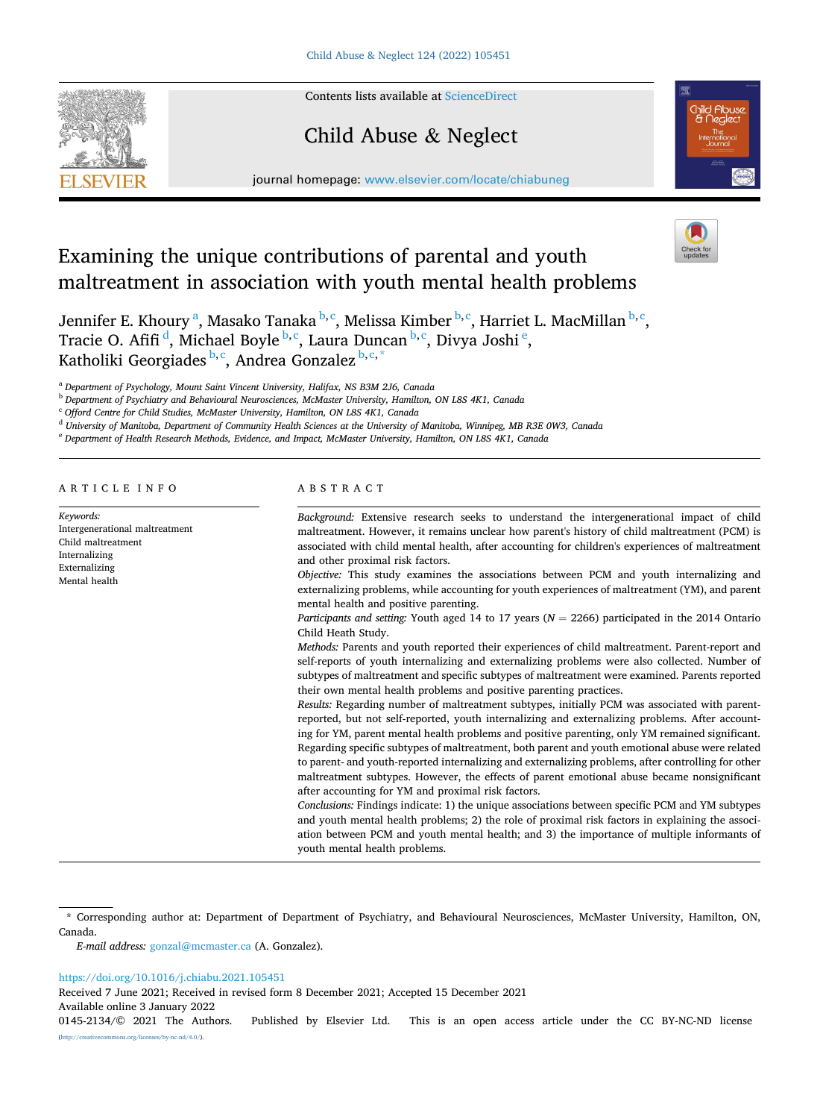Contents lists available at [ScienceDirect](www.sciencedirect.com/science/journal/01452134)

# Child Abuse & Neglect

journal homepage: [www.elsevier.com/locate/chiabuneg](https://www.elsevier.com/locate/chiabuneg)



Jennifer E. Khoury <sup>a</sup>, Masako Tanaka <sup>b, c</sup>, Melissa Kimber <sup>b, c</sup>, Harriet L. MacMillan <sup>b, c</sup>, Tracie O. Afifi<sup>d</sup>, Michael Boyle<sup>b,c</sup>, Laura Duncan<sup>b,c</sup>, Divya Joshi<sup>e</sup>, Katholiki Georgiades b,c, Andrea Gonzalez b,c,\*

<sup>a</sup> *Department of Psychology, Mount Saint Vincent University, Halifax, NS B3M 2J6, Canada* 

<sup>b</sup> *Department of Psychiatry and Behavioural Neurosciences, McMaster University, Hamilton, ON L8S 4K1, Canada* 

<sup>c</sup> *Offord Centre for Child Studies, McMaster University, Hamilton, ON L8S 4K1, Canada* 

<sup>d</sup> *University of Manitoba, Department of Community Health Sciences at the University of Manitoba, Winnipeg, MB R3E 0W3, Canada* 

<sup>e</sup> *Department of Health Research Methods, Evidence, and Impact, McMaster University, Hamilton, ON L8S 4K1, Canada* 

ARTICLE INFO

*Keywords:*  Intergenerational maltreatment Child maltreatment Internalizing Externalizing Mental health

## ABSTRACT

*Background:* Extensive research seeks to understand the intergenerational impact of child maltreatment. However, it remains unclear how parent's history of child maltreatment (PCM) is associated with child mental health, after accounting for children's experiences of maltreatment and other proximal risk factors. *Objective:* This study examines the associations between PCM and youth internalizing and externalizing problems, while accounting for youth experiences of maltreatment (YM), and parent mental health and positive parenting.

*Participants and setting:* Youth aged 14 to 17 years (*N* = 2266) participated in the 2014 Ontario Child Heath Study.

*Methods:* Parents and youth reported their experiences of child maltreatment. Parent-report and self-reports of youth internalizing and externalizing problems were also collected. Number of subtypes of maltreatment and specific subtypes of maltreatment were examined. Parents reported their own mental health problems and positive parenting practices.

*Results:* Regarding number of maltreatment subtypes, initially PCM was associated with parentreported, but not self-reported, youth internalizing and externalizing problems. After accounting for YM, parent mental health problems and positive parenting, only YM remained significant. Regarding specific subtypes of maltreatment, both parent and youth emotional abuse were related to parent- and youth-reported internalizing and externalizing problems, after controlling for other maltreatment subtypes. However, the effects of parent emotional abuse became nonsignificant after accounting for YM and proximal risk factors.

*Conclusions:* Findings indicate: 1) the unique associations between specific PCM and YM subtypes and youth mental health problems; 2) the role of proximal risk factors in explaining the association between PCM and youth mental health; and 3) the importance of multiple informants of youth mental health problems.

*E-mail address:* [gonzal@mcmaster.ca](mailto:gonzal@mcmaster.ca) (A. Gonzalez).

#### <https://doi.org/10.1016/j.chiabu.2021.105451>

Received 7 June 2021; Received in revised form 8 December 2021; Accepted 15 December 2021

Available online 3 January 2022





<sup>\*</sup> Corresponding author at: Department of Department of Psychiatry, and Behavioural Neurosciences, McMaster University, Hamilton, ON, Canada.

<sup>0145-2134/© 2021</sup> The Authors. Published by Elsevier Ltd. This is an open access article under the CC BY-NC-ND license [\(http://creativecommons.org/licenses/by-nc-nd/4.0/\)](http://creativecommons.org/licenses/by-nc-nd/4.0/).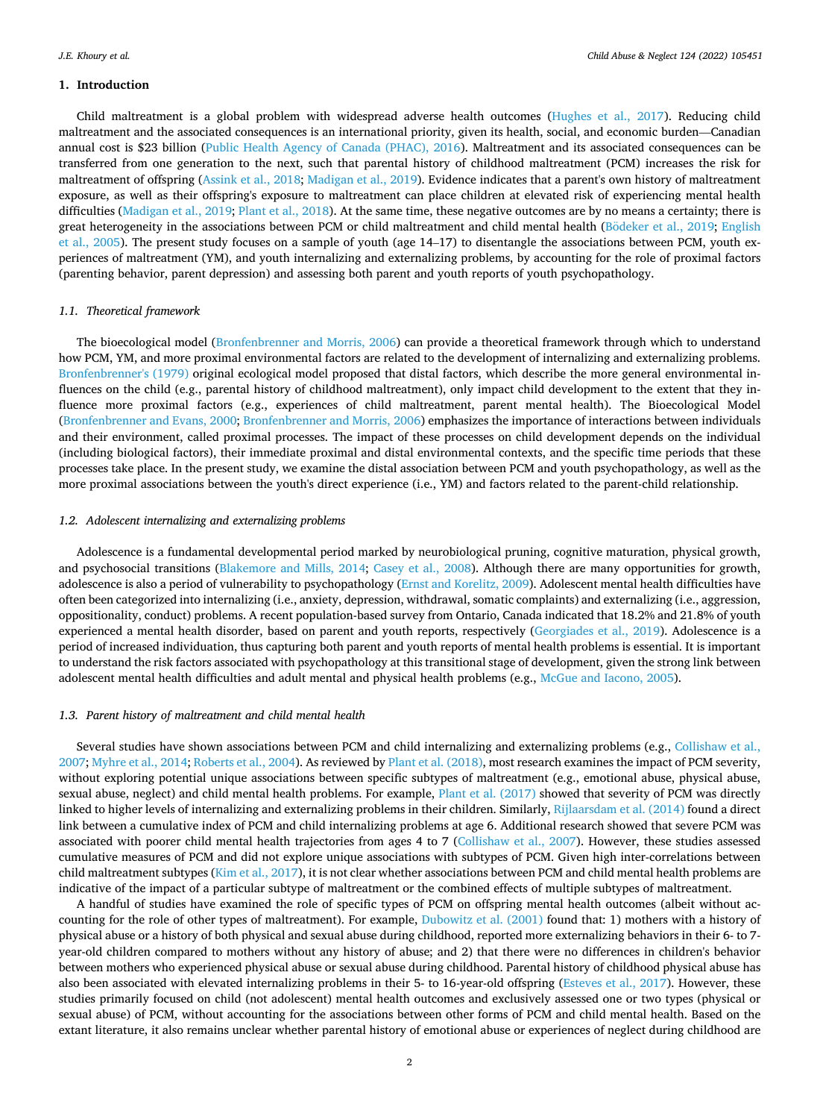## **1. Introduction**

Child maltreatment is a global problem with widespread adverse health outcomes ([Hughes et al., 2017](#page-10-0)). Reducing child maltreatment and the associated consequences is an international priority, given its health, social, and economic burden—Canadian annual cost is \$23 billion ([Public Health Agency of Canada \(PHAC\), 2016\)](#page-10-0). Maltreatment and its associated consequences can be transferred from one generation to the next, such that parental history of childhood maltreatment (PCM) increases the risk for maltreatment of offspring ([Assink et al., 2018;](#page-9-0) [Madigan et al., 2019](#page-10-0)). Evidence indicates that a parent's own history of maltreatment exposure, as well as their offspring's exposure to maltreatment can place children at elevated risk of experiencing mental health difficulties [\(Madigan et al., 2019](#page-10-0); [Plant et al., 2018\)](#page-10-0). At the same time, these negative outcomes are by no means a certainty; there is great heterogeneity in the associations between PCM or child maltreatment and child mental health (Bödeker [et al., 2019](#page-9-0); [English](#page-10-0) [et al., 2005\)](#page-10-0). The present study focuses on a sample of youth (age 14–17) to disentangle the associations between PCM, youth experiences of maltreatment (YM), and youth internalizing and externalizing problems, by accounting for the role of proximal factors (parenting behavior, parent depression) and assessing both parent and youth reports of youth psychopathology.

# *1.1. Theoretical framework*

The bioecological model [\(Bronfenbrenner and Morris, 2006](#page-10-0)) can provide a theoretical framework through which to understand how PCM, YM, and more proximal environmental factors are related to the development of internalizing and externalizing problems. [Bronfenbrenner's \(1979\)](#page-9-0) original ecological model proposed that distal factors, which describe the more general environmental influences on the child (e.g., parental history of childhood maltreatment), only impact child development to the extent that they influence more proximal factors (e.g., experiences of child maltreatment, parent mental health). The Bioecological Model [\(Bronfenbrenner and Evans, 2000](#page-9-0); [Bronfenbrenner and Morris, 2006](#page-10-0)) emphasizes the importance of interactions between individuals and their environment, called proximal processes. The impact of these processes on child development depends on the individual (including biological factors), their immediate proximal and distal environmental contexts, and the specific time periods that these processes take place. In the present study, we examine the distal association between PCM and youth psychopathology, as well as the more proximal associations between the youth's direct experience (i.e., YM) and factors related to the parent-child relationship.

## *1.2. Adolescent internalizing and externalizing problems*

Adolescence is a fundamental developmental period marked by neurobiological pruning, cognitive maturation, physical growth, and psychosocial transitions ([Blakemore and Mills, 2014;](#page-9-0) [Casey et al., 2008\)](#page-10-0). Although there are many opportunities for growth, adolescence is also a period of vulnerability to psychopathology ([Ernst and Korelitz, 2009](#page-10-0)). Adolescent mental health difficulties have often been categorized into internalizing (i.e., anxiety, depression, withdrawal, somatic complaints) and externalizing (i.e., aggression, oppositionality, conduct) problems. A recent population-based survey from Ontario, Canada indicated that 18.2% and 21.8% of youth experienced a mental health disorder, based on parent and youth reports, respectively [\(Georgiades et al., 2019](#page-10-0)). Adolescence is a period of increased individuation, thus capturing both parent and youth reports of mental health problems is essential. It is important to understand the risk factors associated with psychopathology at this transitional stage of development, given the strong link between adolescent mental health difficulties and adult mental and physical health problems (e.g., [McGue and Iacono, 2005\)](#page-10-0).

#### *1.3. Parent history of maltreatment and child mental health*

Several studies have shown associations between PCM and child internalizing and externalizing problems (e.g., [Collishaw et al.,](#page-10-0) [2007; Myhre et al., 2014; Roberts et al., 2004](#page-10-0)). As reviewed by [Plant et al. \(2018\),](#page-10-0) most research examines the impact of PCM severity, without exploring potential unique associations between specific subtypes of maltreatment (e.g., emotional abuse, physical abuse, sexual abuse, neglect) and child mental health problems. For example, [Plant et al. \(2017\)](#page-10-0) showed that severity of PCM was directly linked to higher levels of internalizing and externalizing problems in their children. Similarly, [Rijlaarsdam et al. \(2014\)](#page-10-0) found a direct link between a cumulative index of PCM and child internalizing problems at age 6. Additional research showed that severe PCM was associated with poorer child mental health trajectories from ages 4 to 7 [\(Collishaw et al., 2007\)](#page-10-0). However, these studies assessed cumulative measures of PCM and did not explore unique associations with subtypes of PCM. Given high inter-correlations between child maltreatment subtypes [\(Kim et al., 2017](#page-10-0)), it is not clear whether associations between PCM and child mental health problems are indicative of the impact of a particular subtype of maltreatment or the combined effects of multiple subtypes of maltreatment.

A handful of studies have examined the role of specific types of PCM on offspring mental health outcomes (albeit without accounting for the role of other types of maltreatment). For example, [Dubowitz et al. \(2001\)](#page-10-0) found that: 1) mothers with a history of physical abuse or a history of both physical and sexual abuse during childhood, reported more externalizing behaviors in their 6- to 7 year-old children compared to mothers without any history of abuse; and 2) that there were no differences in children's behavior between mothers who experienced physical abuse or sexual abuse during childhood. Parental history of childhood physical abuse has also been associated with elevated internalizing problems in their 5- to 16-year-old offspring [\(Esteves et al., 2017\)](#page-10-0). However, these studies primarily focused on child (not adolescent) mental health outcomes and exclusively assessed one or two types (physical or sexual abuse) of PCM, without accounting for the associations between other forms of PCM and child mental health. Based on the extant literature, it also remains unclear whether parental history of emotional abuse or experiences of neglect during childhood are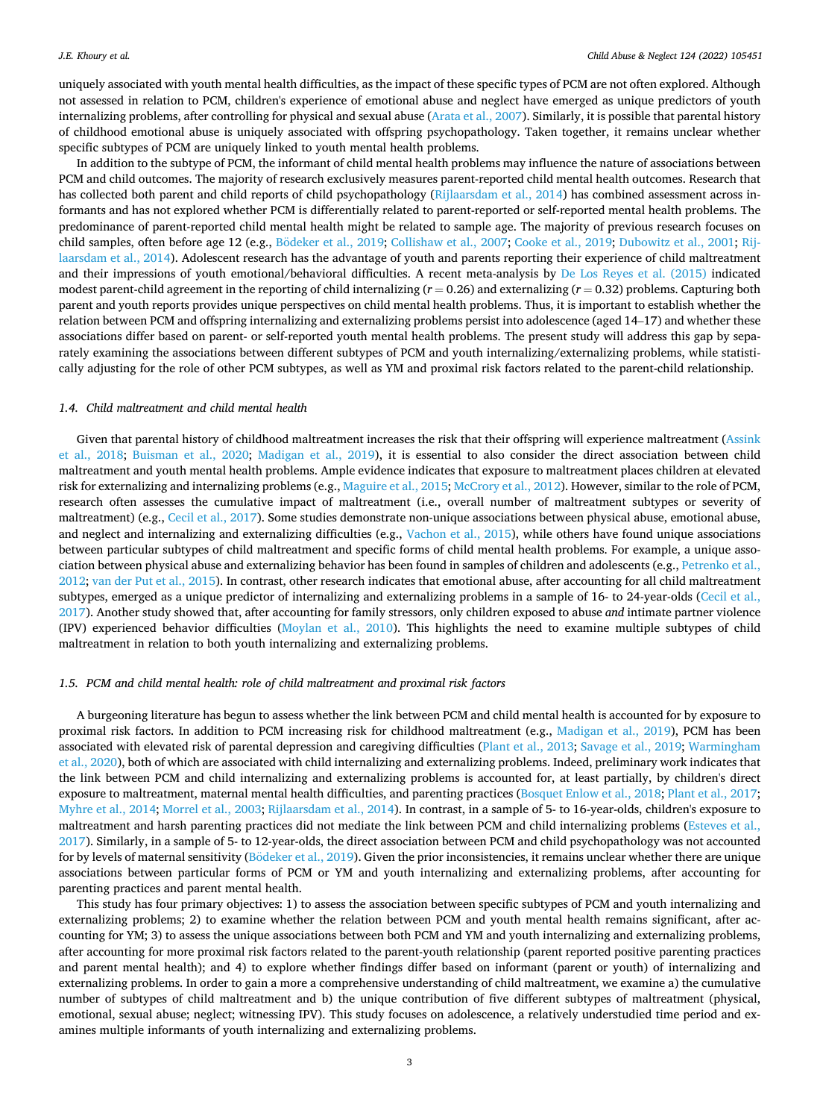uniquely associated with youth mental health difficulties, as the impact of these specific types of PCM are not often explored. Although not assessed in relation to PCM, children's experience of emotional abuse and neglect have emerged as unique predictors of youth internalizing problems, after controlling for physical and sexual abuse ([Arata et al., 2007\)](#page-9-0). Similarly, it is possible that parental history of childhood emotional abuse is uniquely associated with offspring psychopathology. Taken together, it remains unclear whether specific subtypes of PCM are uniquely linked to youth mental health problems.

In addition to the subtype of PCM, the informant of child mental health problems may influence the nature of associations between PCM and child outcomes. The majority of research exclusively measures parent-reported child mental health outcomes. Research that has collected both parent and child reports of child psychopathology ([Rijlaarsdam et al., 2014\)](#page-10-0) has combined assessment across informants and has not explored whether PCM is differentially related to parent-reported or self-reported mental health problems. The predominance of parent-reported child mental health might be related to sample age. The majority of previous research focuses on child samples, often before age 12 (e.g., Bödeker [et al., 2019](#page-9-0); [Collishaw et al., 2007](#page-10-0); [Cooke et al., 2019; Dubowitz et al., 2001](#page-10-0); [Rij](#page-10-0)[laarsdam et al., 2014](#page-10-0)). Adolescent research has the advantage of youth and parents reporting their experience of child maltreatment and their impressions of youth emotional/behavioral difficulties. A recent meta-analysis by [De Los Reyes et al. \(2015\)](#page-10-0) indicated modest parent-child agreement in the reporting of child internalizing (*r* = 0.26) and externalizing (*r* = 0.32) problems. Capturing both parent and youth reports provides unique perspectives on child mental health problems. Thus, it is important to establish whether the relation between PCM and offspring internalizing and externalizing problems persist into adolescence (aged 14–17) and whether these associations differ based on parent- or self-reported youth mental health problems. The present study will address this gap by separately examining the associations between different subtypes of PCM and youth internalizing/externalizing problems, while statistically adjusting for the role of other PCM subtypes, as well as YM and proximal risk factors related to the parent-child relationship.

## *1.4. Child maltreatment and child mental health*

Given that parental history of childhood maltreatment increases the risk that their offspring will experience maltreatment [\(Assink](#page-9-0) [et al., 2018](#page-9-0); [Buisman et al., 2020](#page-10-0); [Madigan et al., 2019\)](#page-10-0), it is essential to also consider the direct association between child maltreatment and youth mental health problems. Ample evidence indicates that exposure to maltreatment places children at elevated risk for externalizing and internalizing problems (e.g., [Maguire et al., 2015; McCrory et al., 2012](#page-10-0)). However, similar to the role of PCM, research often assesses the cumulative impact of maltreatment (i.e., overall number of maltreatment subtypes or severity of maltreatment) (e.g., [Cecil et al., 2017\)](#page-10-0). Some studies demonstrate non-unique associations between physical abuse, emotional abuse, and neglect and internalizing and externalizing difficulties (e.g., [Vachon et al., 2015\)](#page-11-0), while others have found unique associations between particular subtypes of child maltreatment and specific forms of child mental health problems. For example, a unique association between physical abuse and externalizing behavior has been found in samples of children and adolescents (e.g., [Petrenko et al.,](#page-10-0) [2012; van der Put et al., 2015](#page-10-0)). In contrast, other research indicates that emotional abuse, after accounting for all child maltreatment subtypes, emerged as a unique predictor of internalizing and externalizing problems in a sample of 16- to 24-year-olds [\(Cecil et al.,](#page-10-0) [2017\)](#page-10-0). Another study showed that, after accounting for family stressors, only children exposed to abuse *and* intimate partner violence (IPV) experienced behavior difficulties [\(Moylan et al., 2010\)](#page-10-0). This highlights the need to examine multiple subtypes of child maltreatment in relation to both youth internalizing and externalizing problems.

#### *1.5. PCM and child mental health: role of child maltreatment and proximal risk factors*

A burgeoning literature has begun to assess whether the link between PCM and child mental health is accounted for by exposure to proximal risk factors. In addition to PCM increasing risk for childhood maltreatment (e.g., [Madigan et al., 2019](#page-10-0)), PCM has been associated with elevated risk of parental depression and caregiving difficulties ([Plant et al., 2013](#page-10-0); [Savage et al., 2019;](#page-10-0) [Warmingham](#page-11-0) [et al., 2020\)](#page-11-0), both of which are associated with child internalizing and externalizing problems. Indeed, preliminary work indicates that the link between PCM and child internalizing and externalizing problems is accounted for, at least partially, by children's direct exposure to maltreatment, maternal mental health difficulties, and parenting practices ([Bosquet Enlow et al., 2018](#page-9-0); [Plant et al., 2017](#page-10-0); [Myhre et al., 2014; Morrel et al., 2003; Rijlaarsdam et al., 2014\)](#page-10-0). In contrast, in a sample of 5- to 16-year-olds, children's exposure to maltreatment and harsh parenting practices did not mediate the link between PCM and child internalizing problems [\(Esteves et al.,](#page-10-0) [2017\)](#page-10-0). Similarly, in a sample of 5- to 12-year-olds, the direct association between PCM and child psychopathology was not accounted for by levels of maternal sensitivity (Bödeker [et al., 2019\)](#page-9-0). Given the prior inconsistencies, it remains unclear whether there are unique associations between particular forms of PCM or YM and youth internalizing and externalizing problems, after accounting for parenting practices and parent mental health.

This study has four primary objectives: 1) to assess the association between specific subtypes of PCM and youth internalizing and externalizing problems; 2) to examine whether the relation between PCM and youth mental health remains significant, after accounting for YM; 3) to assess the unique associations between both PCM and YM and youth internalizing and externalizing problems, after accounting for more proximal risk factors related to the parent-youth relationship (parent reported positive parenting practices and parent mental health); and 4) to explore whether findings differ based on informant (parent or youth) of internalizing and externalizing problems. In order to gain a more a comprehensive understanding of child maltreatment, we examine a) the cumulative number of subtypes of child maltreatment and b) the unique contribution of five different subtypes of maltreatment (physical, emotional, sexual abuse; neglect; witnessing IPV). This study focuses on adolescence, a relatively understudied time period and examines multiple informants of youth internalizing and externalizing problems.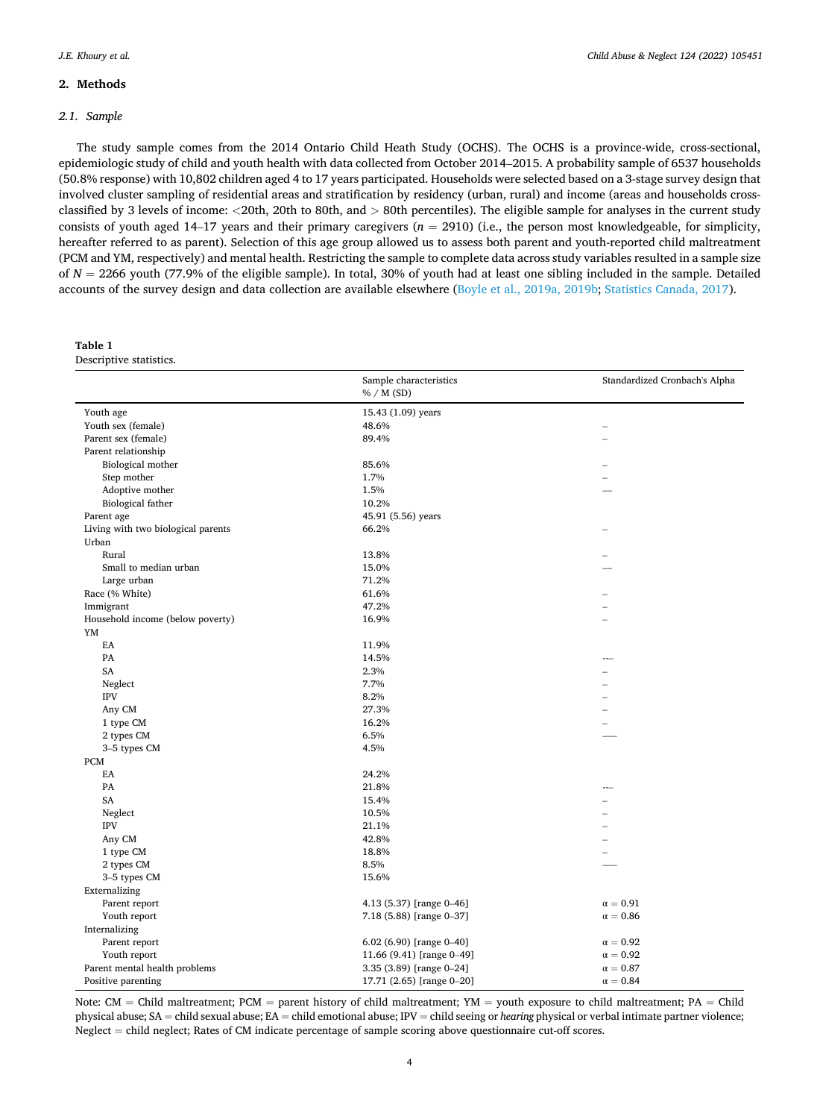## <span id="page-3-0"></span>**2. Methods**

## *2.1. Sample*

The study sample comes from the 2014 Ontario Child Heath Study (OCHS). The OCHS is a province-wide, cross-sectional, epidemiologic study of child and youth health with data collected from October 2014–2015. A probability sample of 6537 households (50.8% response) with 10,802 children aged 4 to 17 years participated. Households were selected based on a 3-stage survey design that involved cluster sampling of residential areas and stratification by residency (urban, rural) and income (areas and households crossclassified by 3 levels of income: *<*20th, 20th to 80th, and *>* 80th percentiles). The eligible sample for analyses in the current study consists of youth aged 14–17 years and their primary caregivers  $(n = 2910)$  (i.e., the person most knowledgeable, for simplicity, hereafter referred to as parent). Selection of this age group allowed us to assess both parent and youth-reported child maltreatment (PCM and YM, respectively) and mental health. Restricting the sample to complete data across study variables resulted in a sample size of *N* = 2266 youth (77.9% of the eligible sample). In total, 30% of youth had at least one sibling included in the sample. Detailed accounts of the survey design and data collection are available elsewhere ([Boyle et al., 2019a, 2019b](#page-9-0); [Statistics Canada, 2017](#page-11-0)).

| аріе |
|------|
|------|

Descriptive statistics.

|                                    | Sample characteristics<br>% / M(SD) | Standardized Cronbach's Alpha |  |  |  |
|------------------------------------|-------------------------------------|-------------------------------|--|--|--|
| Youth age                          | 15.43 (1.09) years                  |                               |  |  |  |
| Youth sex (female)                 | 48.6%                               |                               |  |  |  |
| Parent sex (female)                | 89.4%                               |                               |  |  |  |
| Parent relationship                |                                     |                               |  |  |  |
| Biological mother                  | 85.6%                               |                               |  |  |  |
| Step mother                        | 1.7%                                |                               |  |  |  |
| Adoptive mother                    | 1.5%                                |                               |  |  |  |
| Biological father                  | 10.2%                               |                               |  |  |  |
| Parent age                         | 45.91 (5.56) years                  |                               |  |  |  |
| Living with two biological parents | 66.2%                               |                               |  |  |  |
| Urban                              |                                     |                               |  |  |  |
| Rural                              | 13.8%                               |                               |  |  |  |
| Small to median urban              | 15.0%                               |                               |  |  |  |
| Large urban                        | 71.2%                               |                               |  |  |  |
| Race (% White)                     | 61.6%                               |                               |  |  |  |
| Immigrant                          | 47.2%                               |                               |  |  |  |
| Household income (below poverty)   | 16.9%                               |                               |  |  |  |
| YM                                 |                                     |                               |  |  |  |
| EA                                 | 11.9%                               |                               |  |  |  |
| PA                                 | 14.5%                               |                               |  |  |  |
| SA                                 | 2.3%                                |                               |  |  |  |
| Neglect                            | 7.7%                                |                               |  |  |  |
| <b>IPV</b>                         | 8.2%                                |                               |  |  |  |
| Any CM                             | 27.3%                               |                               |  |  |  |
| 1 type CM                          | 16.2%                               |                               |  |  |  |
| 2 types CM                         | 6.5%                                |                               |  |  |  |
| 3-5 types CM                       | 4.5%                                |                               |  |  |  |
| <b>PCM</b>                         |                                     |                               |  |  |  |
| EA                                 | 24.2%                               |                               |  |  |  |
| PA                                 | 21.8%                               |                               |  |  |  |
| SA                                 | 15.4%                               |                               |  |  |  |
| Neglect                            | 10.5%                               |                               |  |  |  |
| <b>IPV</b>                         | 21.1%                               |                               |  |  |  |
| Any CM                             | 42.8%                               |                               |  |  |  |
| 1 type CM                          | 18.8%                               | $\equiv$                      |  |  |  |
| 2 types CM                         | 8.5%                                |                               |  |  |  |
| 3-5 types CM                       | 15.6%                               |                               |  |  |  |
| Externalizing                      |                                     |                               |  |  |  |
| Parent report                      | 4.13 (5.37) [range 0-46]            | $\alpha=0.91$                 |  |  |  |
| Youth report                       | 7.18 (5.88) [range 0-37]            | $\alpha=0.86$                 |  |  |  |
| Internalizing                      |                                     |                               |  |  |  |
| Parent report                      | 6.02 (6.90) [range $0-40$ ]         | $\alpha=0.92$                 |  |  |  |
| Youth report                       | 11.66 (9.41) [range 0-49]           | $\alpha=0.92$                 |  |  |  |
| Parent mental health problems      | 3.35 (3.89) [range 0-24]            | $\alpha=0.87$                 |  |  |  |
| Positive parenting                 | 17.71 (2.65) [range 0-20]           | $\alpha = 0.84$               |  |  |  |

Note: CM = Child maltreatment; PCM = parent history of child maltreatment; YM = youth exposure to child maltreatment; PA = Child physical abuse; SA = child sexual abuse; EA = child emotional abuse; IPV = child seeing or *hearing* physical or verbal intimate partner violence; Neglect = child neglect; Rates of CM indicate percentage of sample scoring above questionnaire cut-off scores.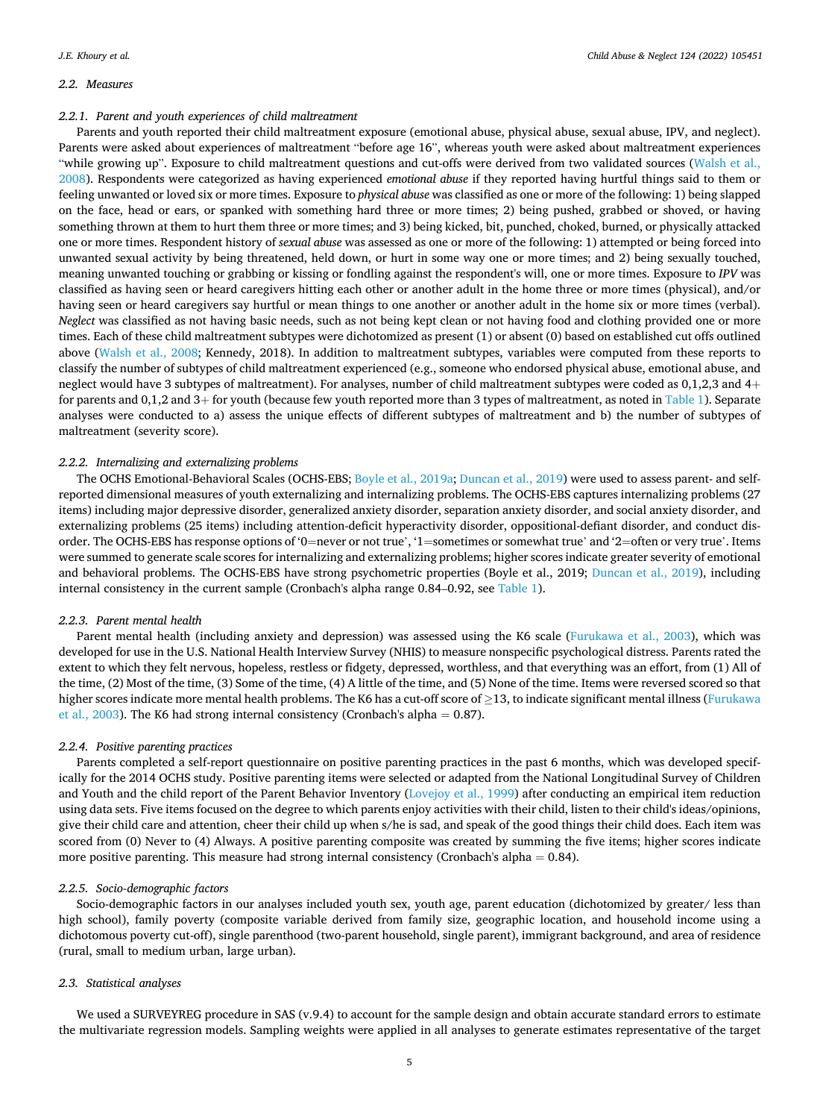#### *2.2. Measures*

#### *2.2.1. Parent and youth experiences of child maltreatment*

Parents and youth reported their child maltreatment exposure (emotional abuse, physical abuse, sexual abuse, IPV, and neglect). Parents were asked about experiences of maltreatment "before age 16", whereas youth were asked about maltreatment experiences "while growing up". Exposure to child maltreatment questions and cut-offs were derived from two validated sources ([Walsh et al.,](#page-11-0) [2008\)](#page-11-0). Respondents were categorized as having experienced *emotional abuse* if they reported having hurtful things said to them or feeling unwanted or loved six or more times. Exposure to *physical abuse* was classified as one or more of the following: 1) being slapped on the face, head or ears, or spanked with something hard three or more times; 2) being pushed, grabbed or shoved, or having something thrown at them to hurt them three or more times; and 3) being kicked, bit, punched, choked, burned, or physically attacked one or more times. Respondent history of *sexual abuse* was assessed as one or more of the following: 1) attempted or being forced into unwanted sexual activity by being threatened, held down, or hurt in some way one or more times; and 2) being sexually touched, meaning unwanted touching or grabbing or kissing or fondling against the respondent's will, one or more times. Exposure to *IPV* was classified as having seen or heard caregivers hitting each other or another adult in the home three or more times (physical), and/or having seen or heard caregivers say hurtful or mean things to one another or another adult in the home six or more times (verbal). *Neglect* was classified as not having basic needs, such as not being kept clean or not having food and clothing provided one or more times. Each of these child maltreatment subtypes were dichotomized as present (1) or absent (0) based on established cut offs outlined above ([Walsh et al., 2008;](#page-11-0) Kennedy, 2018). In addition to maltreatment subtypes, variables were computed from these reports to classify the number of subtypes of child maltreatment experienced (e.g., someone who endorsed physical abuse, emotional abuse, and neglect would have 3 subtypes of maltreatment). For analyses, number of child maltreatment subtypes were coded as 0,1,2,3 and 4+ for parents and 0,1,2 and 3+ for youth (because few youth reported more than 3 types of maltreatment, as noted in [Table 1\)](#page-3-0). Separate analyses were conducted to a) assess the unique effects of different subtypes of maltreatment and b) the number of subtypes of maltreatment (severity score).

#### *2.2.2. Internalizing and externalizing problems*

The OCHS Emotional-Behavioral Scales (OCHS-EBS; [Boyle et al., 2019a](#page-9-0); [Duncan et al., 2019\)](#page-10-0) were used to assess parent- and selfreported dimensional measures of youth externalizing and internalizing problems. The OCHS-EBS captures internalizing problems (27 items) including major depressive disorder, generalized anxiety disorder, separation anxiety disorder, and social anxiety disorder, and externalizing problems (25 items) including attention-deficit hyperactivity disorder, oppositional-defiant disorder, and conduct disorder. The OCHS-EBS has response options of '0=never or not true', '1=sometimes or somewhat true' and '2=often or very true'. Items were summed to generate scale scores for internalizing and externalizing problems; higher scores indicate greater severity of emotional and behavioral problems. The OCHS-EBS have strong psychometric properties (Boyle et al., 2019; [Duncan et al., 2019](#page-10-0)), including internal consistency in the current sample (Cronbach's alpha range 0.84–0.92, see [Table 1](#page-3-0)).

#### *2.2.3. Parent mental health*

Parent mental health (including anxiety and depression) was assessed using the K6 scale ([Furukawa et al., 2003\)](#page-10-0), which was developed for use in the U.S. National Health Interview Survey (NHIS) to measure nonspecific psychological distress. Parents rated the extent to which they felt nervous, hopeless, restless or fidgety, depressed, worthless, and that everything was an effort, from (1) All of the time, (2) Most of the time, (3) Some of the time, (4) A little of the time, and (5) None of the time. Items were reversed scored so that higher scores indicate more mental health problems. The K6 has a cut-off score of  $\geq$ 13, to indicate significant mental illness [\(Furukawa](#page-10-0) [et al., 2003](#page-10-0)). The K6 had strong internal consistency (Cronbach's alpha = 0.87).

#### *2.2.4. Positive parenting practices*

Parents completed a self-report questionnaire on positive parenting practices in the past 6 months, which was developed specifically for the 2014 OCHS study. Positive parenting items were selected or adapted from the National Longitudinal Survey of Children and Youth and the child report of the Parent Behavior Inventory ([Lovejoy et al., 1999\)](#page-10-0) after conducting an empirical item reduction using data sets. Five items focused on the degree to which parents enjoy activities with their child, listen to their child's ideas/opinions, give their child care and attention, cheer their child up when s/he is sad, and speak of the good things their child does. Each item was scored from (0) Never to (4) Always. A positive parenting composite was created by summing the five items; higher scores indicate more positive parenting. This measure had strong internal consistency (Cronbach's alpha  $= 0.84$ ).

## *2.2.5. Socio-demographic factors*

Socio-demographic factors in our analyses included youth sex, youth age, parent education (dichotomized by greater/ less than high school), family poverty (composite variable derived from family size, geographic location, and household income using a dichotomous poverty cut-off), single parenthood (two-parent household, single parent), immigrant background, and area of residence (rural, small to medium urban, large urban).

## *2.3. Statistical analyses*

We used a SURVEYREG procedure in SAS (v.9.4) to account for the sample design and obtain accurate standard errors to estimate the multivariate regression models. Sampling weights were applied in all analyses to generate estimates representative of the target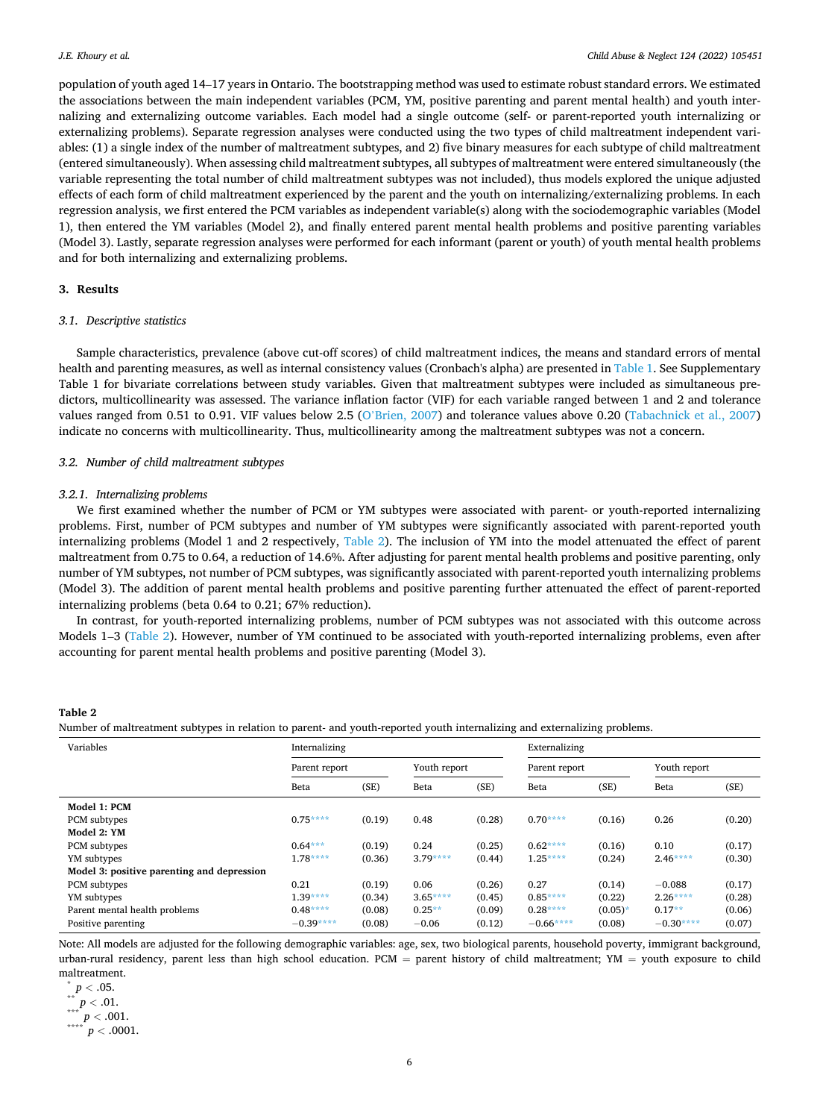<span id="page-5-0"></span>population of youth aged 14–17 years in Ontario. The bootstrapping method was used to estimate robust standard errors. We estimated the associations between the main independent variables (PCM, YM, positive parenting and parent mental health) and youth internalizing and externalizing outcome variables. Each model had a single outcome (self- or parent-reported youth internalizing or externalizing problems). Separate regression analyses were conducted using the two types of child maltreatment independent variables: (1) a single index of the number of maltreatment subtypes, and 2) five binary measures for each subtype of child maltreatment (entered simultaneously). When assessing child maltreatment subtypes, all subtypes of maltreatment were entered simultaneously (the variable representing the total number of child maltreatment subtypes was not included), thus models explored the unique adjusted effects of each form of child maltreatment experienced by the parent and the youth on internalizing/externalizing problems. In each regression analysis, we first entered the PCM variables as independent variable(s) along with the sociodemographic variables (Model 1), then entered the YM variables (Model 2), and finally entered parent mental health problems and positive parenting variables (Model 3). Lastly, separate regression analyses were performed for each informant (parent or youth) of youth mental health problems and for both internalizing and externalizing problems.

# **3. Results**

# *3.1. Descriptive statistics*

Sample characteristics, prevalence (above cut-off scores) of child maltreatment indices, the means and standard errors of mental health and parenting measures, as well as internal consistency values (Cronbach's alpha) are presented in [Table 1.](#page-3-0) See Supplementary Table 1 for bivariate correlations between study variables. Given that maltreatment subtypes were included as simultaneous predictors, multicollinearity was assessed. The variance inflation factor (VIF) for each variable ranged between 1 and 2 and tolerance values ranged from 0.51 to 0.91. VIF values below 2.5 (O'[Brien, 2007\)](#page-10-0) and tolerance values above 0.20 ([Tabachnick et al., 2007](#page-11-0)) indicate no concerns with multicollinearity. Thus, multicollinearity among the maltreatment subtypes was not a concern.

#### *3.2. Number of child maltreatment subtypes*

#### *3.2.1. Internalizing problems*

We first examined whether the number of PCM or YM subtypes were associated with parent- or youth-reported internalizing problems. First, number of PCM subtypes and number of YM subtypes were significantly associated with parent-reported youth internalizing problems (Model 1 and 2 respectively, Table 2). The inclusion of YM into the model attenuated the effect of parent maltreatment from 0.75 to 0.64, a reduction of 14.6%. After adjusting for parent mental health problems and positive parenting, only number of YM subtypes, not number of PCM subtypes, was significantly associated with parent-reported youth internalizing problems (Model 3). The addition of parent mental health problems and positive parenting further attenuated the effect of parent-reported internalizing problems (beta 0.64 to 0.21; 67% reduction).

In contrast, for youth-reported internalizing problems, number of PCM subtypes was not associated with this outcome across Models 1–3 (Table 2). However, number of YM continued to be associated with youth-reported internalizing problems, even after accounting for parent mental health problems and positive parenting (Model 3).

# **Table 2**

Number of maltreatment subtypes in relation to parent- and youth-reported youth internalizing and externalizing problems.

| Variables                                  | Internalizing |        |              |        | Externalizing |           |              |        |
|--------------------------------------------|---------------|--------|--------------|--------|---------------|-----------|--------------|--------|
|                                            | Parent report |        | Youth report |        | Parent report |           | Youth report |        |
|                                            | Beta          | (SE)   | Beta         | (SE)   | Beta          | (SE)      | Beta         | (SE)   |
| Model 1: PCM                               |               |        |              |        |               |           |              |        |
| PCM subtypes                               | $0.75***$     | (0.19) | 0.48         | (0.28) | $0.70***$     | (0.16)    | 0.26         | (0.20) |
| Model 2: YM                                |               |        |              |        |               |           |              |        |
| PCM subtypes                               | $0.64***$     | (0.19) | 0.24         | (0.25) | $0.62***$     | (0.16)    | 0.10         | (0.17) |
| YM subtypes                                | $1.78***$     | (0.36) | $3.79***$    | (0.44) | $1.25***$     | (0.24)    | $2.46***$    | (0.30) |
| Model 3: positive parenting and depression |               |        |              |        |               |           |              |        |
| PCM subtypes                               | 0.21          | (0.19) | 0.06         | (0.26) | 0.27          | (0.14)    | $-0.088$     | (0.17) |
| YM subtypes                                | $1.39***$     | (0.34) | $3.65***$    | (0.45) | $0.85***$     | (0.22)    | $2.26***$    | (0.28) |
| Parent mental health problems              | $0.48***$     | (0.08) | $0.25**$     | (0.09) | $0.28***$     | $(0.05)*$ | $0.17**$     | (0.06) |
| Positive parenting                         | $-0.39***$    | (0.08) | $-0.06$      | (0.12) | $-0.66***$    | (0.08)    | $-0.30***$   | (0.07) |

Note: All models are adjusted for the following demographic variables: age, sex, two biological parents, household poverty, immigrant background, urban-rural residency, parent less than high school education. PCM = parent history of child maltreatment; YM = youth exposure to child

maltreatment.<br> $p < .05$ .  $p < .01.$ <br>\*\*\*  $p < .001.$ <br>\*\*\*\*  $p < .0001.$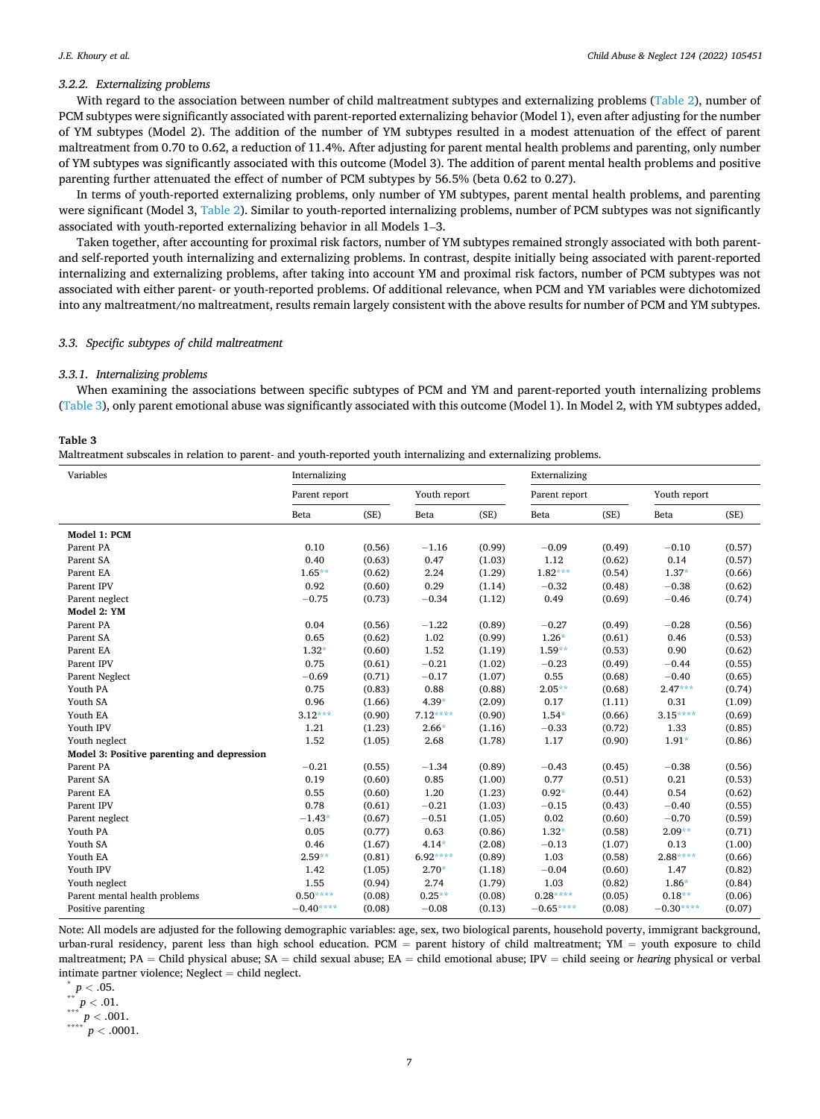## <span id="page-6-0"></span>*3.2.2. Externalizing problems*

With regard to the association between number of child maltreatment subtypes and externalizing problems ([Table 2](#page-5-0)), number of PCM subtypes were significantly associated with parent-reported externalizing behavior (Model 1), even after adjusting for the number of YM subtypes (Model 2). The addition of the number of YM subtypes resulted in a modest attenuation of the effect of parent maltreatment from 0.70 to 0.62, a reduction of 11.4%. After adjusting for parent mental health problems and parenting, only number of YM subtypes was significantly associated with this outcome (Model 3). The addition of parent mental health problems and positive parenting further attenuated the effect of number of PCM subtypes by 56.5% (beta 0.62 to 0.27).

In terms of youth-reported externalizing problems, only number of YM subtypes, parent mental health problems, and parenting were significant (Model 3, [Table 2](#page-5-0)). Similar to youth-reported internalizing problems, number of PCM subtypes was not significantly associated with youth-reported externalizing behavior in all Models 1–3.

Taken together, after accounting for proximal risk factors, number of YM subtypes remained strongly associated with both parentand self-reported youth internalizing and externalizing problems. In contrast, despite initially being associated with parent-reported internalizing and externalizing problems, after taking into account YM and proximal risk factors, number of PCM subtypes was not associated with either parent- or youth-reported problems. Of additional relevance, when PCM and YM variables were dichotomized into any maltreatment/no maltreatment, results remain largely consistent with the above results for number of PCM and YM subtypes.

# *3.3. Specific subtypes of child maltreatment*

#### *3.3.1. Internalizing problems*

When examining the associations between specific subtypes of PCM and YM and parent-reported youth internalizing problems (Table 3), only parent emotional abuse was significantly associated with this outcome (Model 1). In Model 2, with YM subtypes added,

## **Table 3**

Maltreatment subscales in relation to parent- and youth-reported youth internalizing and externalizing problems.

| Variables                                  | Internalizing |        |              | Externalizing |               |        |              |        |
|--------------------------------------------|---------------|--------|--------------|---------------|---------------|--------|--------------|--------|
|                                            |               |        |              |               |               |        |              |        |
|                                            | Parent report |        | Youth report |               | Parent report |        | Youth report |        |
|                                            | Beta          | (SE)   | Beta         | (SE)          | Beta          | (SE)   | Beta         | (SE)   |
| Model 1: PCM                               |               |        |              |               |               |        |              |        |
| Parent PA                                  | 0.10          | (0.56) | $-1.16$      | (0.99)        | $-0.09$       | (0.49) | $-0.10$      | (0.57) |
| Parent SA                                  | 0.40          | (0.63) | 0.47         | (1.03)        | 1.12          | (0.62) | 0.14         | (0.57) |
| Parent EA                                  | $1.65**$      | (0.62) | 2.24         | (1.29)        | $1.82***$     | (0.54) | $1.37*$      | (0.66) |
| Parent IPV                                 | 0.92          | (0.60) | 0.29         | (1.14)        | $-0.32$       | (0.48) | $-0.38$      | (0.62) |
| Parent neglect                             | $-0.75$       | (0.73) | $-0.34$      | (1.12)        | 0.49          | (0.69) | $-0.46$      | (0.74) |
| Model 2: YM                                |               |        |              |               |               |        |              |        |
| Parent PA                                  | 0.04          | (0.56) | $-1.22$      | (0.89)        | $-0.27$       | (0.49) | $-0.28$      | (0.56) |
| Parent SA                                  | 0.65          | (0.62) | 1.02         | (0.99)        | $1.26*$       | (0.61) | 0.46         | (0.53) |
| Parent EA                                  | $1.32*$       | (0.60) | 1.52         | (1.19)        | $1.59**$      | (0.53) | 0.90         | (0.62) |
| Parent IPV                                 | 0.75          | (0.61) | $-0.21$      | (1.02)        | $-0.23$       | (0.49) | $-0.44$      | (0.55) |
| Parent Neglect                             | $-0.69$       | (0.71) | $-0.17$      | (1.07)        | 0.55          | (0.68) | $-0.40$      | (0.65) |
| Youth PA                                   | 0.75          | (0.83) | 0.88         | (0.88)        | $2.05**$      | (0.68) | $2.47***$    | (0.74) |
| Youth SA                                   | 0.96          | (1.66) | $4.39*$      | (2.09)        | 0.17          | (1.11) | 0.31         | (1.09) |
| Youth EA                                   | $3.12***$     | (0.90) | $7.12***$    | (0.90)        | $1.54*$       | (0.66) | $3.15***$    | (0.69) |
| Youth IPV                                  | 1.21          | (1.23) | $2.66*$      | (1.16)        | $-0.33$       | (0.72) | 1.33         | (0.85) |
| Youth neglect                              | 1.52          | (1.05) | 2.68         | (1.78)        | 1.17          | (0.90) | $1.91*$      | (0.86) |
| Model 3: Positive parenting and depression |               |        |              |               |               |        |              |        |
| Parent PA                                  | $-0.21$       | (0.55) | $-1.34$      | (0.89)        | $-0.43$       | (0.45) | $-0.38$      | (0.56) |
| Parent SA                                  | 0.19          | (0.60) | 0.85         | (1.00)        | 0.77          | (0.51) | 0.21         | (0.53) |
| Parent EA                                  | 0.55          | (0.60) | 1.20         | (1.23)        | $0.92*$       | (0.44) | 0.54         | (0.62) |
| Parent IPV                                 | 0.78          | (0.61) | $-0.21$      | (1.03)        | $-0.15$       | (0.43) | $-0.40$      | (0.55) |
| Parent neglect                             | $-1.43*$      | (0.67) | $-0.51$      | (1.05)        | 0.02          | (0.60) | $-0.70$      | (0.59) |
| Youth PA                                   | 0.05          | (0.77) | 0.63         | (0.86)        | $1.32*$       | (0.58) | $2.09**$     | (0.71) |
| Youth SA                                   | 0.46          | (1.67) | $4.14*$      | (2.08)        | $-0.13$       | (1.07) | 0.13         | (1.00) |
| Youth EA                                   | $2.59**$      | (0.81) | $6.92***$    | (0.89)        | 1.03          | (0.58) | $2.88***$    | (0.66) |
| Youth IPV                                  | 1.42          | (1.05) | $2.70*$      | (1.18)        | $-0.04$       | (0.60) | 1.47         | (0.82) |
| Youth neglect                              | 1.55          | (0.94) | 2.74         | (1.79)        | 1.03          | (0.82) | $1.86*$      | (0.84) |
| Parent mental health problems              | $0.50***$     | (0.08) | $0.25***$    | (0.08)        | $0.28***$     | (0.05) | $0.18**$     | (0.06) |
| Positive parenting                         | $-0.40***$    | (0.08) | $-0.08$      | (0.13)        | $-0.65***$    | (0.08) | $-0.30***$   | (0.07) |

Note: All models are adjusted for the following demographic variables: age, sex, two biological parents, household poverty, immigrant background, urban-rural residency, parent less than high school education. PCM = parent history of child maltreatment; YM = youth exposure to child maltreatment; PA = Child physical abuse; SA = child sexual abuse; EA = child emotional abuse; IPV = child seeing or *hearing* physical or verbal intimate partner violence; Neglect = child neglect.<br>  $\binom{*}{} p < .05.$ <br>
\*\*\*  $p < .01.$ <br>
\*\*\*\*  $p < .001.$ <br>
\*\*\*\*  $p < .0001.$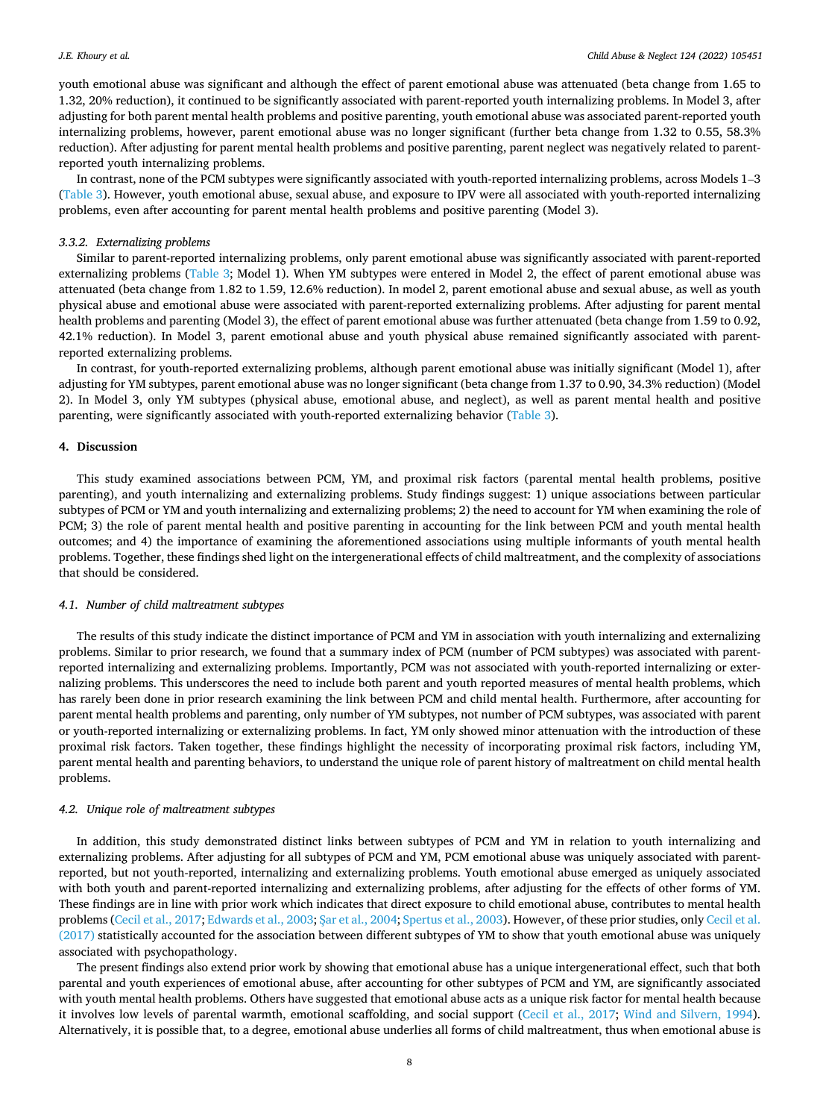youth emotional abuse was significant and although the effect of parent emotional abuse was attenuated (beta change from 1.65 to 1.32, 20% reduction), it continued to be significantly associated with parent-reported youth internalizing problems. In Model 3, after adjusting for both parent mental health problems and positive parenting, youth emotional abuse was associated parent-reported youth internalizing problems, however, parent emotional abuse was no longer significant (further beta change from 1.32 to 0.55, 58.3% reduction). After adjusting for parent mental health problems and positive parenting, parent neglect was negatively related to parentreported youth internalizing problems.

In contrast, none of the PCM subtypes were significantly associated with youth-reported internalizing problems, across Models 1–3 [\(Table 3](#page-6-0)). However, youth emotional abuse, sexual abuse, and exposure to IPV were all associated with youth-reported internalizing problems, even after accounting for parent mental health problems and positive parenting (Model 3).

## *3.3.2. Externalizing problems*

Similar to parent-reported internalizing problems, only parent emotional abuse was significantly associated with parent-reported externalizing problems ([Table 3;](#page-6-0) Model 1). When YM subtypes were entered in Model 2, the effect of parent emotional abuse was attenuated (beta change from 1.82 to 1.59, 12.6% reduction). In model 2, parent emotional abuse and sexual abuse, as well as youth physical abuse and emotional abuse were associated with parent-reported externalizing problems. After adjusting for parent mental health problems and parenting (Model 3), the effect of parent emotional abuse was further attenuated (beta change from 1.59 to 0.92, 42.1% reduction). In Model 3, parent emotional abuse and youth physical abuse remained significantly associated with parentreported externalizing problems.

In contrast, for youth-reported externalizing problems, although parent emotional abuse was initially significant (Model 1), after adjusting for YM subtypes, parent emotional abuse was no longer significant (beta change from 1.37 to 0.90, 34.3% reduction) (Model 2). In Model 3, only YM subtypes (physical abuse, emotional abuse, and neglect), as well as parent mental health and positive parenting, were significantly associated with youth-reported externalizing behavior ([Table 3\)](#page-6-0).

## **4. Discussion**

This study examined associations between PCM, YM, and proximal risk factors (parental mental health problems, positive parenting), and youth internalizing and externalizing problems. Study findings suggest: 1) unique associations between particular subtypes of PCM or YM and youth internalizing and externalizing problems; 2) the need to account for YM when examining the role of PCM; 3) the role of parent mental health and positive parenting in accounting for the link between PCM and youth mental health outcomes; and 4) the importance of examining the aforementioned associations using multiple informants of youth mental health problems. Together, these findings shed light on the intergenerational effects of child maltreatment, and the complexity of associations that should be considered.

# *4.1. Number of child maltreatment subtypes*

The results of this study indicate the distinct importance of PCM and YM in association with youth internalizing and externalizing problems. Similar to prior research, we found that a summary index of PCM (number of PCM subtypes) was associated with parentreported internalizing and externalizing problems. Importantly, PCM was not associated with youth-reported internalizing or externalizing problems. This underscores the need to include both parent and youth reported measures of mental health problems, which has rarely been done in prior research examining the link between PCM and child mental health. Furthermore, after accounting for parent mental health problems and parenting, only number of YM subtypes, not number of PCM subtypes, was associated with parent or youth-reported internalizing or externalizing problems. In fact, YM only showed minor attenuation with the introduction of these proximal risk factors. Taken together, these findings highlight the necessity of incorporating proximal risk factors, including YM, parent mental health and parenting behaviors, to understand the unique role of parent history of maltreatment on child mental health problems.

# *4.2. Unique role of maltreatment subtypes*

In addition, this study demonstrated distinct links between subtypes of PCM and YM in relation to youth internalizing and externalizing problems. After adjusting for all subtypes of PCM and YM, PCM emotional abuse was uniquely associated with parentreported, but not youth-reported, internalizing and externalizing problems. Youth emotional abuse emerged as uniquely associated with both youth and parent-reported internalizing and externalizing problems, after adjusting for the effects of other forms of YM. These findings are in line with prior work which indicates that direct exposure to child emotional abuse, contributes to mental health problems [\(Cecil et al., 2017; Edwards et al., 2003](#page-10-0); S[ar et al., 2004;](#page-10-0) [Spertus et al., 2003](#page-11-0)). However, of these prior studies, only [Cecil et al.](#page-10-0) [\(2017\)](#page-10-0) statistically accounted for the association between different subtypes of YM to show that youth emotional abuse was uniquely associated with psychopathology.

The present findings also extend prior work by showing that emotional abuse has a unique intergenerational effect, such that both parental and youth experiences of emotional abuse, after accounting for other subtypes of PCM and YM, are significantly associated with youth mental health problems. Others have suggested that emotional abuse acts as a unique risk factor for mental health because it involves low levels of parental warmth, emotional scaffolding, and social support [\(Cecil et al., 2017;](#page-10-0) [Wind and Silvern, 1994](#page-11-0)). Alternatively, it is possible that, to a degree, emotional abuse underlies all forms of child maltreatment, thus when emotional abuse is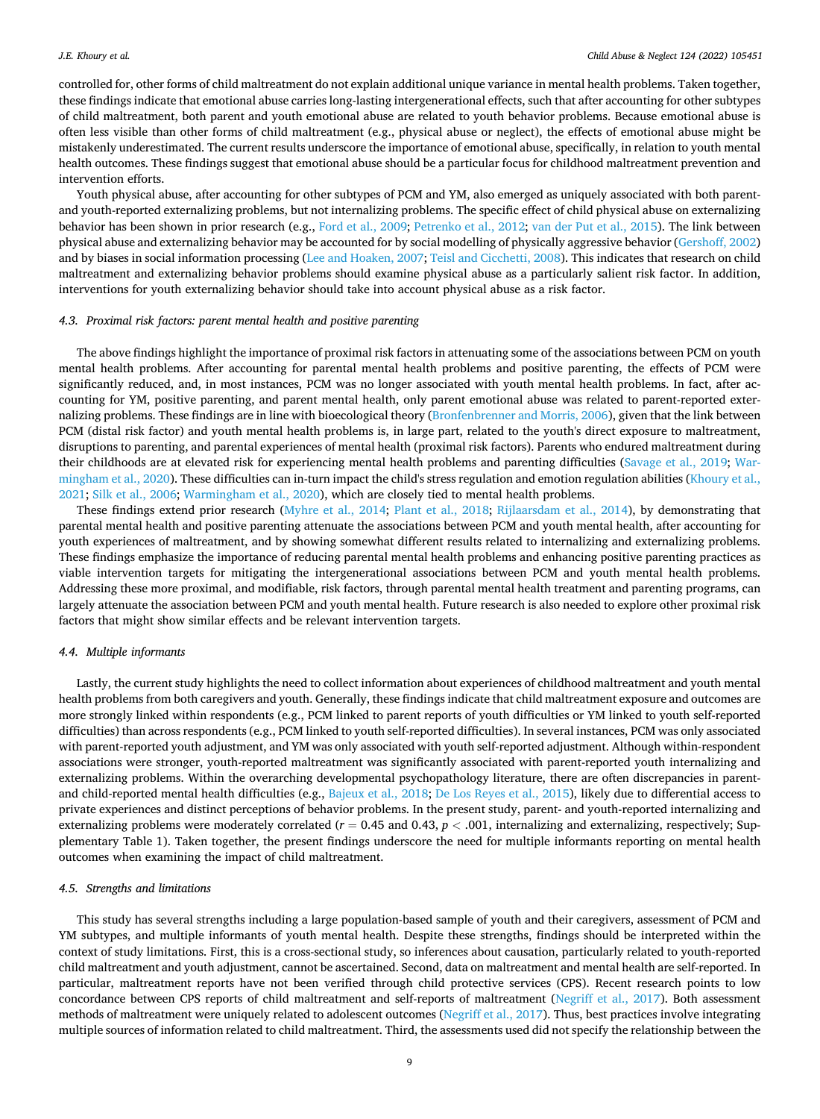controlled for, other forms of child maltreatment do not explain additional unique variance in mental health problems. Taken together, these findings indicate that emotional abuse carries long-lasting intergenerational effects, such that after accounting for other subtypes of child maltreatment, both parent and youth emotional abuse are related to youth behavior problems. Because emotional abuse is often less visible than other forms of child maltreatment (e.g., physical abuse or neglect), the effects of emotional abuse might be mistakenly underestimated. The current results underscore the importance of emotional abuse, specifically, in relation to youth mental health outcomes. These findings suggest that emotional abuse should be a particular focus for childhood maltreatment prevention and intervention efforts.

Youth physical abuse, after accounting for other subtypes of PCM and YM, also emerged as uniquely associated with both parentand youth-reported externalizing problems, but not internalizing problems. The specific effect of child physical abuse on externalizing behavior has been shown in prior research (e.g., [Ford et al., 2009](#page-10-0); [Petrenko et al., 2012; van der Put et al., 2015\)](#page-10-0). The link between physical abuse and externalizing behavior may be accounted for by social modelling of physically aggressive behavior ([Gershoff, 2002](#page-10-0)) and by biases in social information processing ([Lee and Hoaken, 2007;](#page-10-0) [Teisl and Cicchetti, 2008](#page-11-0)). This indicates that research on child maltreatment and externalizing behavior problems should examine physical abuse as a particularly salient risk factor. In addition, interventions for youth externalizing behavior should take into account physical abuse as a risk factor.

# *4.3. Proximal risk factors: parent mental health and positive parenting*

The above findings highlight the importance of proximal risk factors in attenuating some of the associations between PCM on youth mental health problems. After accounting for parental mental health problems and positive parenting, the effects of PCM were significantly reduced, and, in most instances, PCM was no longer associated with youth mental health problems. In fact, after accounting for YM, positive parenting, and parent mental health, only parent emotional abuse was related to parent-reported externalizing problems. These findings are in line with bioecological theory [\(Bronfenbrenner and Morris, 2006\)](#page-10-0), given that the link between PCM (distal risk factor) and youth mental health problems is, in large part, related to the youth's direct exposure to maltreatment, disruptions to parenting, and parental experiences of mental health (proximal risk factors). Parents who endured maltreatment during their childhoods are at elevated risk for experiencing mental health problems and parenting difficulties ([Savage et al., 2019](#page-10-0); [War](#page-11-0)[mingham et al., 2020\)](#page-11-0). These difficulties can in-turn impact the child's stress regulation and emotion regulation abilities [\(Khoury et al.,](#page-10-0) [2021;](#page-10-0) [Silk et al., 2006](#page-11-0); [Warmingham et al., 2020\)](#page-11-0), which are closely tied to mental health problems.

These findings extend prior research ([Myhre et al., 2014](#page-10-0); [Plant et al., 2018;](#page-10-0) [Rijlaarsdam et al., 2014](#page-10-0)), by demonstrating that parental mental health and positive parenting attenuate the associations between PCM and youth mental health, after accounting for youth experiences of maltreatment, and by showing somewhat different results related to internalizing and externalizing problems. These findings emphasize the importance of reducing parental mental health problems and enhancing positive parenting practices as viable intervention targets for mitigating the intergenerational associations between PCM and youth mental health problems. Addressing these more proximal, and modifiable, risk factors, through parental mental health treatment and parenting programs, can largely attenuate the association between PCM and youth mental health. Future research is also needed to explore other proximal risk factors that might show similar effects and be relevant intervention targets.

#### *4.4. Multiple informants*

Lastly, the current study highlights the need to collect information about experiences of childhood maltreatment and youth mental health problems from both caregivers and youth. Generally, these findings indicate that child maltreatment exposure and outcomes are more strongly linked within respondents (e.g., PCM linked to parent reports of youth difficulties or YM linked to youth self-reported difficulties) than across respondents (e.g., PCM linked to youth self-reported difficulties). In several instances, PCM was only associated with parent-reported youth adjustment, and YM was only associated with youth self-reported adjustment. Although within-respondent associations were stronger, youth-reported maltreatment was significantly associated with parent-reported youth internalizing and externalizing problems. Within the overarching developmental psychopathology literature, there are often discrepancies in parentand child-reported mental health difficulties (e.g., [Bajeux et al., 2018;](#page-9-0) [De Los Reyes et al., 2015](#page-10-0)), likely due to differential access to private experiences and distinct perceptions of behavior problems. In the present study, parent- and youth-reported internalizing and externalizing problems were moderately correlated (*r* = 0.45 and 0.43, *p <* .001, internalizing and externalizing, respectively; Supplementary Table 1). Taken together, the present findings underscore the need for multiple informants reporting on mental health outcomes when examining the impact of child maltreatment.

#### *4.5. Strengths and limitations*

This study has several strengths including a large population-based sample of youth and their caregivers, assessment of PCM and YM subtypes, and multiple informants of youth mental health. Despite these strengths, findings should be interpreted within the context of study limitations. First, this is a cross-sectional study, so inferences about causation, particularly related to youth-reported child maltreatment and youth adjustment, cannot be ascertained. Second, data on maltreatment and mental health are self-reported. In particular, maltreatment reports have not been verified through child protective services (CPS). Recent research points to low concordance between CPS reports of child maltreatment and self-reports of maltreatment [\(Negriff et al., 2017\)](#page-10-0). Both assessment methods of maltreatment were uniquely related to adolescent outcomes ([Negriff et al., 2017\)](#page-10-0). Thus, best practices involve integrating multiple sources of information related to child maltreatment. Third, the assessments used did not specify the relationship between the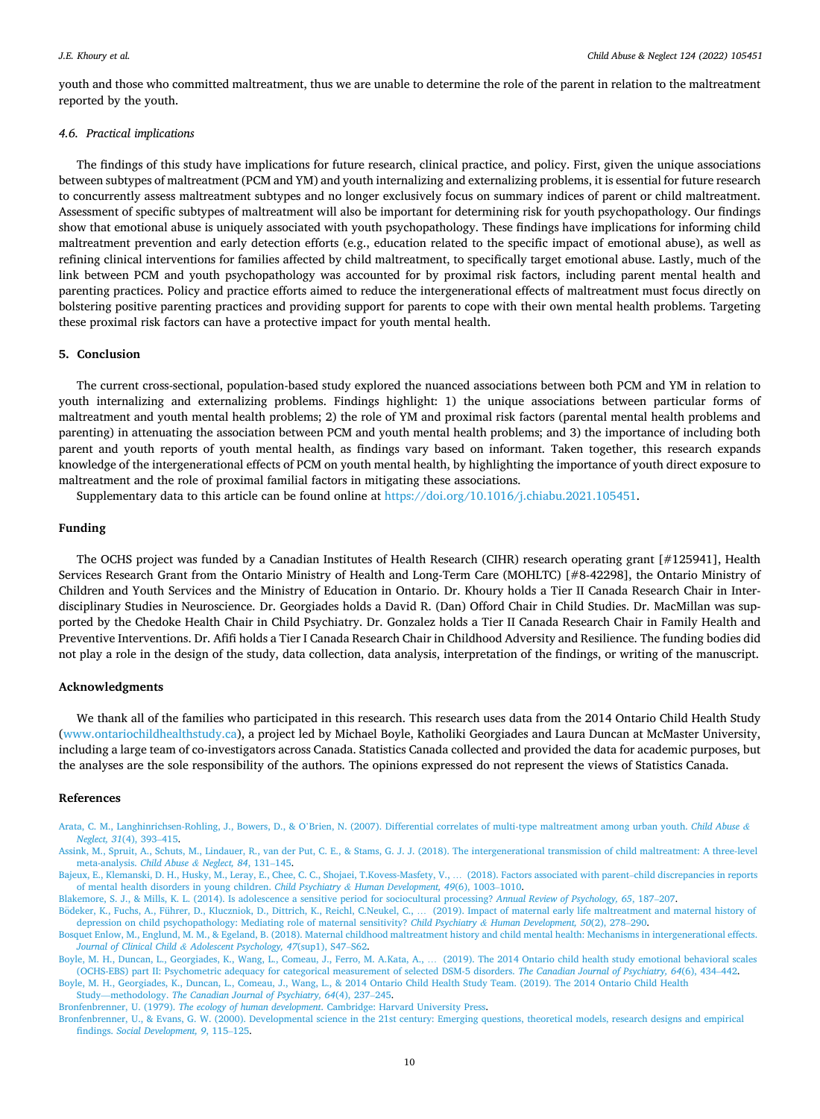<span id="page-9-0"></span>youth and those who committed maltreatment, thus we are unable to determine the role of the parent in relation to the maltreatment reported by the youth.

# *4.6. Practical implications*

The findings of this study have implications for future research, clinical practice, and policy. First, given the unique associations between subtypes of maltreatment (PCM and YM) and youth internalizing and externalizing problems, it is essential for future research to concurrently assess maltreatment subtypes and no longer exclusively focus on summary indices of parent or child maltreatment. Assessment of specific subtypes of maltreatment will also be important for determining risk for youth psychopathology. Our findings show that emotional abuse is uniquely associated with youth psychopathology. These findings have implications for informing child maltreatment prevention and early detection efforts (e.g., education related to the specific impact of emotional abuse), as well as refining clinical interventions for families affected by child maltreatment, to specifically target emotional abuse. Lastly, much of the link between PCM and youth psychopathology was accounted for by proximal risk factors, including parent mental health and parenting practices. Policy and practice efforts aimed to reduce the intergenerational effects of maltreatment must focus directly on bolstering positive parenting practices and providing support for parents to cope with their own mental health problems. Targeting these proximal risk factors can have a protective impact for youth mental health.

# **5. Conclusion**

The current cross-sectional, population-based study explored the nuanced associations between both PCM and YM in relation to youth internalizing and externalizing problems. Findings highlight: 1) the unique associations between particular forms of maltreatment and youth mental health problems; 2) the role of YM and proximal risk factors (parental mental health problems and parenting) in attenuating the association between PCM and youth mental health problems; and 3) the importance of including both parent and youth reports of youth mental health, as findings vary based on informant. Taken together, this research expands knowledge of the intergenerational effects of PCM on youth mental health, by highlighting the importance of youth direct exposure to maltreatment and the role of proximal familial factors in mitigating these associations.

Supplementary data to this article can be found online at [https://doi.org/10.1016/j.chiabu.2021.105451.](https://doi.org/10.1016/j.chiabu.2021.105451)

#### **Funding**

The OCHS project was funded by a Canadian Institutes of Health Research (CIHR) research operating grant [#125941], Health Services Research Grant from the Ontario Ministry of Health and Long-Term Care (MOHLTC) [#8-42298], the Ontario Ministry of Children and Youth Services and the Ministry of Education in Ontario. Dr. Khoury holds a Tier II Canada Research Chair in Interdisciplinary Studies in Neuroscience. Dr. Georgiades holds a David R. (Dan) Offord Chair in Child Studies. Dr. MacMillan was supported by the Chedoke Health Chair in Child Psychiatry. Dr. Gonzalez holds a Tier II Canada Research Chair in Family Health and Preventive Interventions. Dr. Afifi holds a Tier I Canada Research Chair in Childhood Adversity and Resilience. The funding bodies did not play a role in the design of the study, data collection, data analysis, interpretation of the findings, or writing of the manuscript.

# **Acknowledgments**

We thank all of the families who participated in this research. This research uses data from the 2014 Ontario Child Health Study [\(www.ontariochildhealthstudy.ca](http://www.ontariochildhealthstudy.ca)), a project led by Michael Boyle, Katholiki Georgiades and Laura Duncan at McMaster University, including a large team of co-investigators across Canada. Statistics Canada collected and provided the data for academic purposes, but the analyses are the sole responsibility of the authors. The opinions expressed do not represent the views of Statistics Canada.

## **References**

Arata, C. M., Langhinrichsen-Rohling, J., Bowers, D., & O'[Brien, N. \(2007\). Differential correlates of multi-type maltreatment among urban youth.](http://refhub.elsevier.com/S0145-2134(21)00520-2/rf202112200303311821) *Child Abuse & [Neglect, 31](http://refhub.elsevier.com/S0145-2134(21)00520-2/rf202112200303311821)*(4), 393–415.

[Assink, M., Spruit, A., Schuts, M., Lindauer, R., van der Put, C. E., & Stams, G. J. J. \(2018\). The intergenerational transmission of child maltreatment: A three-level](http://refhub.elsevier.com/S0145-2134(21)00520-2/rf202112200257589811) [meta-analysis.](http://refhub.elsevier.com/S0145-2134(21)00520-2/rf202112200257589811) *Child Abuse & Neglect, 84*, 131–145.

[Bajeux, E., Klemanski, D. H., Husky, M., Leray, E., Chee, C. C., Shojaei, T.Kovess-Masfety, V.,](http://refhub.elsevier.com/S0145-2134(21)00520-2/rf202112200257599138) … (2018). Factors associated with parent–child discrepancies in reports [of mental health disorders in young children.](http://refhub.elsevier.com/S0145-2134(21)00520-2/rf202112200257599138) *Child Psychiatry & Human Development, 49*(6), 1003–1010.

[Blakemore, S. J., & Mills, K. L. \(2014\). Is adolescence a sensitive period for sociocultural processing?](http://refhub.elsevier.com/S0145-2134(21)00520-2/rf202112200303326602) *Annual Review of Psychology, 65*, 187–207.

Bödeker, K., Fuchs, A., Führer, D., Kluczniok, D., Dittrich, K., Reichl, C.Neukel, C., … [\(2019\). Impact of maternal early life maltreatment and maternal history of](http://refhub.elsevier.com/S0145-2134(21)00520-2/rf202112200304349308) [depression on child psychopathology: Mediating role of maternal sensitivity?](http://refhub.elsevier.com/S0145-2134(21)00520-2/rf202112200304349308) *Child Psychiatry & Human Development, 50*(2), 278–290.

[Bosquet Enlow, M., Englund, M. M., & Egeland, B. \(2018\). Maternal childhood maltreatment history and child mental health: Mechanisms in intergenerational effects.](http://refhub.elsevier.com/S0145-2134(21)00520-2/rf202201011236125015) *Journal of Clinical Child & [Adolescent Psychology, 47](http://refhub.elsevier.com/S0145-2134(21)00520-2/rf202201011236125015)*(sup1), S47–S62.

[Boyle, M. H., Duncan, L., Georgiades, K., Wang, L., Comeau, J., Ferro, M. A.Kata, A.,](http://refhub.elsevier.com/S0145-2134(21)00520-2/rf202112200303341634) … (2019). The 2014 Ontario child health study emotional behavioral scales [\(OCHS-EBS\) part II: Psychometric adequacy for categorical measurement of selected DSM-5 disorders.](http://refhub.elsevier.com/S0145-2134(21)00520-2/rf202112200303341634) *The Canadian Journal of Psychiatry, 64*(6), 434–442.

[Boyle, M. H., Georgiades, K., Duncan, L., Comeau, J., Wang, L., & 2014 Ontario Child Health Study Team. \(2019\). The 2014 Ontario Child Health](http://refhub.elsevier.com/S0145-2134(21)00520-2/rf202112200258371675) Study—methodology. *[The Canadian Journal of Psychiatry, 64](http://refhub.elsevier.com/S0145-2134(21)00520-2/rf202112200258371675)*(4), 237–245.

Bronfenbrenner, U. (1979). *The ecology of human development*[. Cambridge: Harvard University Press.](http://refhub.elsevier.com/S0145-2134(21)00520-2/rf202112200258479901)

[Bronfenbrenner, U., & Evans, G. W. \(2000\). Developmental science in the 21st century: Emerging questions, theoretical models, research designs and empirical](http://refhub.elsevier.com/S0145-2134(21)00520-2/rf202201011207265463) findings. *[Social Development, 9](http://refhub.elsevier.com/S0145-2134(21)00520-2/rf202201011207265463)*, 115–125.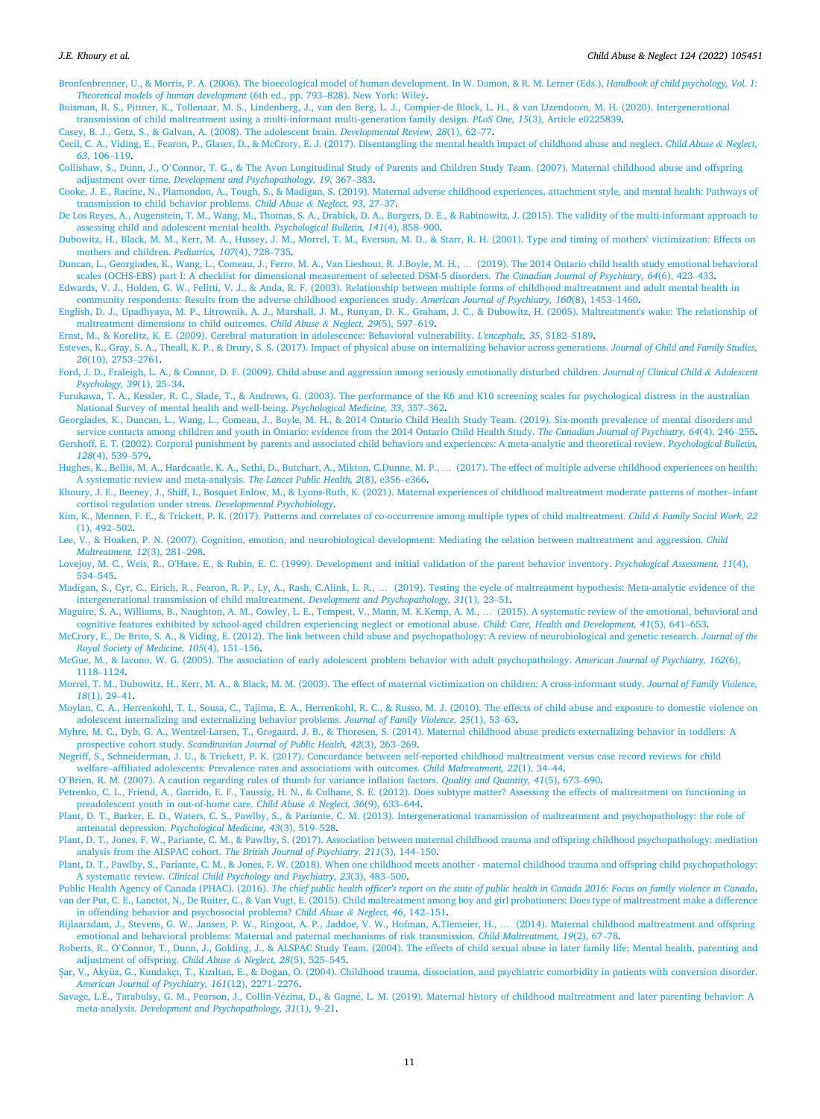- <span id="page-10-0"></span>[Bronfenbrenner, U., & Morris, P. A. \(2006\). The bioecological model of human development. In W. Damon, & R. M. Lerner \(Eds.\),](http://refhub.elsevier.com/S0145-2134(21)00520-2/rf202201011203560345) *Handbook of child psychology, Vol. 1: [Theoretical models of human development](http://refhub.elsevier.com/S0145-2134(21)00520-2/rf202201011203560345)* (6th ed., pp. 793–828). New York: Wiley.
- [Buisman, R. S., Pittner, K., Tollenaar, M. S., Lindenberg, J., van den Berg, L. J., Compier-de Block, L. H., & van IJzendoorn, M. H. \(2020\). Intergenerational](http://refhub.elsevier.com/S0145-2134(21)00520-2/rf202112200301591208)  [transmission of child maltreatment using a multi-informant multi-generation family design.](http://refhub.elsevier.com/S0145-2134(21)00520-2/rf202112200301591208) *PLoS One, 15*(3), Article e0225839.
- [Casey, B. J., Getz, S., & Galvan, A. \(2008\). The adolescent brain.](http://refhub.elsevier.com/S0145-2134(21)00520-2/rf202112200259044062) *Developmental Review, 28*(1), 62–77.

[Cecil, C. A., Viding, E., Fearon, P., Glaser, D., & McCrory, E. J. \(2017\). Disentangling the mental health impact of childhood abuse and neglect.](http://refhub.elsevier.com/S0145-2134(21)00520-2/rf202112200259058277) *Child Abuse & Neglect, 63*[, 106](http://refhub.elsevier.com/S0145-2134(21)00520-2/rf202112200259058277)–119.

- Collishaw, S., Dunn, J., O'[Connor, T. G., & The Avon Longitudinal Study of Parents and Children Study Team. \(2007\). Maternal childhood abuse and offspring](http://refhub.elsevier.com/S0145-2134(21)00520-2/rf202112200259371549) adjustment over time. *[Development and Psychopathology, 19](http://refhub.elsevier.com/S0145-2134(21)00520-2/rf202112200259371549)*, 367–383.
- [Cooke, J. E., Racine, N., Plamondon, A., Tough, S., & Madigan, S. \(2019\). Maternal adverse childhood experiences, attachment style, and mental health: Pathways of](http://refhub.elsevier.com/S0145-2134(21)00520-2/rf202112200303366857) [transmission to child behavior problems.](http://refhub.elsevier.com/S0145-2134(21)00520-2/rf202112200303366857) *Child Abuse & Neglect, 93*, 27–37.
- [De Los Reyes, A., Augenstein, T. M., Wang, M., Thomas, S. A., Drabick, D. A., Burgers, D. E., & Rabinowitz, J. \(2015\). The validity of the multi-informant approach to](http://refhub.elsevier.com/S0145-2134(21)00520-2/rf202112200259387176) [assessing child and adolescent mental health.](http://refhub.elsevier.com/S0145-2134(21)00520-2/rf202112200259387176) *Psychological Bulletin, 141*(4), 858–900.
- [Dubowitz, H., Black, M. M., Kerr, M. A., Hussey, J. M., Morrel, T. M., Everson, M. D., & Starr, R. H. \(2001\). Type and timing of mothers' victimization: Effects on](http://refhub.elsevier.com/S0145-2134(21)00520-2/rf202112200259406423)  [mothers and children.](http://refhub.elsevier.com/S0145-2134(21)00520-2/rf202112200259406423) *Pediatrics, 107*(4), 728–735.
- [Duncan, L., Georgiades, K., Wang, L., Comeau, J., Ferro, M. A., Van Lieshout, R. J.Boyle, M. H.,](http://refhub.elsevier.com/S0145-2134(21)00520-2/rf202112200304413873) … (2019). The 2014 Ontario child health study emotional behavioral [scales \(OCHS-EBS\) part I: A checklist for dimensional measurement of selected DSM-5 disorders.](http://refhub.elsevier.com/S0145-2134(21)00520-2/rf202112200304413873) *The Canadian Journal of Psychiatry, 64*(6), 423–433.

[Edwards, V. J., Holden, G. W., Felitti, V. J., & Anda, R. F. \(2003\). Relationship between multiple forms of childhood maltreatment and adult mental health in](http://refhub.elsevier.com/S0145-2134(21)00520-2/rf202112200303404386) [community respondents: Results from the adverse childhood experiences study.](http://refhub.elsevier.com/S0145-2134(21)00520-2/rf202112200303404386) *American Journal of Psychiatry, 160*(8), 1453–1460.

- [English, D. J., Upadhyaya, M. P., Litrownik, A. J., Marshall, J. M., Runyan, D. K., Graham, J. C., & Dubowitz, H. \(2005\). Maltreatment's wake: The relationship of](http://refhub.elsevier.com/S0145-2134(21)00520-2/rf202112200303430027) [maltreatment dimensions to child outcomes.](http://refhub.elsevier.com/S0145-2134(21)00520-2/rf202112200303430027) *Child Abuse & Neglect, 29*(5), 597–619.
- [Ernst, M., & Korelitz, K. E. \(2009\). Cerebral maturation in adolescence: Behavioral vulnerability.](http://refhub.elsevier.com/S0145-2134(21)00520-2/rf202112200303455742) *L'encephale, 35*, S182–S189.
- [Esteves, K., Gray, S. A., Theall, K. P., & Drury, S. S. \(2017\). Impact of physical abuse on internalizing behavior across generations.](http://refhub.elsevier.com/S0145-2134(21)00520-2/rf202112200259418741) *Journal of Child and Family Studies, 26*[\(10\), 2753](http://refhub.elsevier.com/S0145-2134(21)00520-2/rf202112200259418741)–2761.
- [Ford, J. D., Fraleigh, L. A., & Connor, D. F. \(2009\). Child abuse and aggression among seriously emotionally disturbed children.](http://refhub.elsevier.com/S0145-2134(21)00520-2/rf202112200303457575) *Journal of Clinical Child & Adolescent [Psychology, 39](http://refhub.elsevier.com/S0145-2134(21)00520-2/rf202112200303457575)*(1), 25–34.
- [Furukawa, T. A., Kessler, R. C., Slade, T., & Andrews, G. \(2003\). The performance of the K6 and K10 screening scales for psychological distress in the australian](http://refhub.elsevier.com/S0145-2134(21)00520-2/rf202112200303493897)  [National Survey of mental health and well-being.](http://refhub.elsevier.com/S0145-2134(21)00520-2/rf202112200303493897) *Psychological Medicine, 33*, 357–362.
- [Georgiades, K., Duncan, L., Wang, L., Comeau, J., Boyle, M. H., & 2014 Ontario Child Health Study Team. \(2019\). Six-month prevalence of mental disorders and](http://refhub.elsevier.com/S0145-2134(21)00520-2/rf202201011215068758)  [service contacts among children and youth in Ontario: evidence from the 2014 Ontario Child Health Study.](http://refhub.elsevier.com/S0145-2134(21)00520-2/rf202201011215068758) *The Canadian Journal of Psychiatry, 64*(4), 246–255. [Gershoff, E. T. \(2002\). Corporal punishment by parents and associated child behaviors and experiences: A meta-analytic and theoretical review.](http://refhub.elsevier.com/S0145-2134(21)00520-2/rf202112200304433846) *Psychological Bulletin, 128*[\(4\), 539](http://refhub.elsevier.com/S0145-2134(21)00520-2/rf202112200304433846)–579.
- [Hughes, K., Bellis, M. A., Hardcastle, K. A., Sethi, D., Butchart, A., Mikton, C.Dunne, M. P.,](http://refhub.elsevier.com/S0145-2134(21)00520-2/rf202112200303503967) … (2017). The effect of multiple adverse childhood experiences on health: [A systematic review and meta-analysis.](http://refhub.elsevier.com/S0145-2134(21)00520-2/rf202112200303503967) *The Lancet Public Health, 2*(8), e356–e366.
- [Khoury, J. E., Beeney, J., Shiff, I., Bosquet Enlow, M., & Lyons-Ruth, K. \(2021\). Maternal experiences of childhood maltreatment moderate patterns of mother](http://refhub.elsevier.com/S0145-2134(21)00520-2/rf202201011240417261)–infant [cortisol regulation under stress.](http://refhub.elsevier.com/S0145-2134(21)00520-2/rf202201011240417261) *Developmental Psychobiology*.
- [Kim, K., Mennen, F. E., & Trickett, P. K. \(2017\). Patterns and correlates of co-occurrence among multiple types of child maltreatment.](http://refhub.elsevier.com/S0145-2134(21)00520-2/rf202112200303582733) *Child & Family Social Work, 22*  [\(1\), 492](http://refhub.elsevier.com/S0145-2134(21)00520-2/rf202112200303582733)–502.
- [Lee, V., & Hoaken, P. N. \(2007\). Cognition, emotion, and neurobiological development: Mediating the relation between maltreatment and aggression.](http://refhub.elsevier.com/S0145-2134(21)00520-2/rf202112200259429557) *Child [Maltreatment, 12](http://refhub.elsevier.com/S0145-2134(21)00520-2/rf202112200259429557)*(3), 281–298.
- [Lovejoy, M. C., Weis, R., O'Hare, E., & Rubin, E. C. \(1999\). Development and initial validation of the parent behavior inventory.](http://refhub.elsevier.com/S0145-2134(21)00520-2/rf202112200303577351) *Psychological Assessment, 11*(4), 534–[545.](http://refhub.elsevier.com/S0145-2134(21)00520-2/rf202112200303577351)
- Madigan, S., Cyr, C., Eirich, R., Fearon, R. P., Ly, A., Rash, C.Alink, L. R., … [\(2019\). Testing the cycle of maltreatment hypothesis: Meta-analytic evidence of the](http://refhub.elsevier.com/S0145-2134(21)00520-2/rf202112200259444384) [intergenerational transmission of child maltreatment.](http://refhub.elsevier.com/S0145-2134(21)00520-2/rf202112200259444384) *Development and Psychopathology, 31*(1), 23–51.
- [Maguire, S. A., Williams, B., Naughton, A. M., Cowley, L. E., Tempest, V., Mann, M. K.Kemp, A. M.,](http://refhub.elsevier.com/S0145-2134(21)00520-2/rf202112200259472409) … (2015). A systematic review of the emotional, behavioral and [cognitive features exhibited by school-aged children experiencing neglect or emotional abuse.](http://refhub.elsevier.com/S0145-2134(21)00520-2/rf202112200259472409) *Child: Care, Health and Development, 41*(5), 641–653.
- [McCrory, E., De Brito, S. A., & Viding, E. \(2012\). The link between child abuse and psychopathology: A review of neurobiological and genetic research.](http://refhub.elsevier.com/S0145-2134(21)00520-2/rf202112200303593460) *Journal of the [Royal Society of Medicine, 105](http://refhub.elsevier.com/S0145-2134(21)00520-2/rf202112200303593460)*(4), 151–156.
- [McGue, M., & Iacono, W. G. \(2005\). The association of early adolescent problem behavior with adult psychopathology.](http://refhub.elsevier.com/S0145-2134(21)00520-2/rf202112200303568201) *American Journal of Psychiatry, 162*(6), 1118–[1124.](http://refhub.elsevier.com/S0145-2134(21)00520-2/rf202112200303568201)
- [Morrel, T. M., Dubowitz, H., Kerr, M. A., & Black, M. M. \(2003\). The effect of maternal victimization on children: A cross-informant study.](http://refhub.elsevier.com/S0145-2134(21)00520-2/rf202112200259484510) *Journal of Family Violence, 18*[\(1\), 29](http://refhub.elsevier.com/S0145-2134(21)00520-2/rf202112200259484510)–41.
- [Moylan, C. A., Herrenkohl, T. I., Sousa, C., Tajima, E. A., Herrenkohl, R. C., & Russo, M. J. \(2010\). The effects of child abuse and exposure to domestic violence on](http://refhub.elsevier.com/S0145-2134(21)00520-2/rf202112200304576182) [adolescent internalizing and externalizing behavior problems.](http://refhub.elsevier.com/S0145-2134(21)00520-2/rf202112200304576182) *Journal of Family Violence, 25*(1), 53–63.
- Myhre, M. C., Dyb, G. A., Wentzel-Larsen, T., Grø[gaard, J. B., & Thoresen, S. \(2014\). Maternal childhood abuse predicts externalizing behavior in toddlers: A](http://refhub.elsevier.com/S0145-2134(21)00520-2/rf202112200304050047)  prospective cohort study. *[Scandinavian Journal of Public Health, 42](http://refhub.elsevier.com/S0145-2134(21)00520-2/rf202112200304050047)*(3), 263–269.
- [Negriff, S., Schneiderman, J. U., & Trickett, P. K. \(2017\). Concordance between self-reported childhood maltreatment versus case record reviews for child](http://refhub.elsevier.com/S0145-2134(21)00520-2/rf202112200304062772)  welfare–[affiliated adolescents: Prevalence rates and associations with outcomes.](http://refhub.elsevier.com/S0145-2134(21)00520-2/rf202112200304062772) *Child Maltreatment, 22*(1), 34–44.
- O'[Brien, R. M. \(2007\). A caution regarding rules of thumb for variance inflation factors.](http://refhub.elsevier.com/S0145-2134(21)00520-2/rf202112200304076729) *Quality and Quantity, 41*(5), 673–690.
- [Petrenko, C. L., Friend, A., Garrido, E. F., Taussig, H. N., & Culhane, S. E. \(2012\). Does subtype matter? Assessing the effects of maltreatment on functioning in](http://refhub.elsevier.com/S0145-2134(21)00520-2/rf202112200259501638) [preadolescent youth in out-of-home care.](http://refhub.elsevier.com/S0145-2134(21)00520-2/rf202112200259501638) *Child Abuse & Neglect, 36*(9), 633–644.
- [Plant, D. T., Barker, E. D., Waters, C. S., Pawlby, S., & Pariante, C. M. \(2013\). Intergenerational transmission of maltreatment and psychopathology: the role of](http://refhub.elsevier.com/S0145-2134(21)00520-2/rf202201011232355709)  antenatal depression. *[Psychological Medicine, 43](http://refhub.elsevier.com/S0145-2134(21)00520-2/rf202201011232355709)*(3), 519–528.
- [Plant, D. T., Jones, F. W., Pariante, C. M., & Pawlby, S. \(2017\). Association between maternal childhood trauma and offspring childhood psychopathology: mediation](http://refhub.elsevier.com/S0145-2134(21)00520-2/rf202201011217384782) analysis from the ALSPAC cohort. *[The British Journal of Psychiatry, 211](http://refhub.elsevier.com/S0145-2134(21)00520-2/rf202201011217384782)*(3), 144–150.
- [Plant, D. T., Pawlby, S., Pariante, C. M., & Jones, F. W. \(2018\). When one childhood meets another maternal childhood trauma and offspring child psychopathology:](http://refhub.elsevier.com/S0145-2134(21)00520-2/rf202112200305539200) A systematic review. *[Clinical Child Psychology and Psychiatry, 23](http://refhub.elsevier.com/S0145-2134(21)00520-2/rf202112200305539200)*(3), 483–500.
- Public Health Agency of Canada (PHAC). (2016). *[The chief public health officer's report on the state of public health in Canada 2016: Focus on family violence in Canada](http://refhub.elsevier.com/S0145-2134(21)00520-2/rf202112200300243327)*. van der Put, C. E., Lanctôt, [N., De Ruiter, C., & Van Vugt, E. \(2015\). Child maltreatment among boy and girl probationers: Does type of maltreatment make a difference](http://refhub.elsevier.com/S0145-2134(21)00520-2/rf202112200304253281) [in offending behavior and psychosocial problems?](http://refhub.elsevier.com/S0145-2134(21)00520-2/rf202112200304253281) *Child Abuse & Neglect, 46*, 142–151.
- [Rijlaarsdam, J., Stevens, G. W., Jansen, P. W., Ringoot, A. P., Jaddoe, V. W., Hofman, A.Tiemeier, H.,](http://refhub.elsevier.com/S0145-2134(21)00520-2/rf202112200300258932) … (2014). Maternal childhood maltreatment and offspring [emotional and behavioral problems: Maternal and paternal mechanisms of risk transmission.](http://refhub.elsevier.com/S0145-2134(21)00520-2/rf202112200300258932) *Child Maltreatment, 19*(2), 67–78.
- Roberts, R., O'[Connor, T., Dunn, J., Golding, J., & ALSPAC Study Team. \(2004\). The effects of child sexual abuse in later family life; Mental health, parenting and](http://refhub.elsevier.com/S0145-2134(21)00520-2/rf202112200300544281) [adjustment of offspring.](http://refhub.elsevier.com/S0145-2134(21)00520-2/rf202112200300544281) *Child Abuse & Neglect, 28*(5), 525–545.
- Şar, V., Akyüz, G., Kundakçı, T., Kızıltan, E., & Doğan, [O. \(2004\). Childhood trauma, dissociation, and psychiatric comorbidity in patients with conversion disorder.](http://refhub.elsevier.com/S0145-2134(21)00520-2/rf202112200304138079) *[American Journal of Psychiatry, 161](http://refhub.elsevier.com/S0145-2134(21)00520-2/rf202112200304138079)*(12), 2271–2276.
- Savage, L.É., Tarabulsy, G. M., Pearson, J., Collin-Vézina, D., & Gagné, L. M. (2019). Maternal history of childhood maltreatment and later parenting behavior: A meta-analysis. *[Development and Psychopathology, 31](http://refhub.elsevier.com/S0145-2134(21)00520-2/rf202112200305542947)*(1), 9–21.